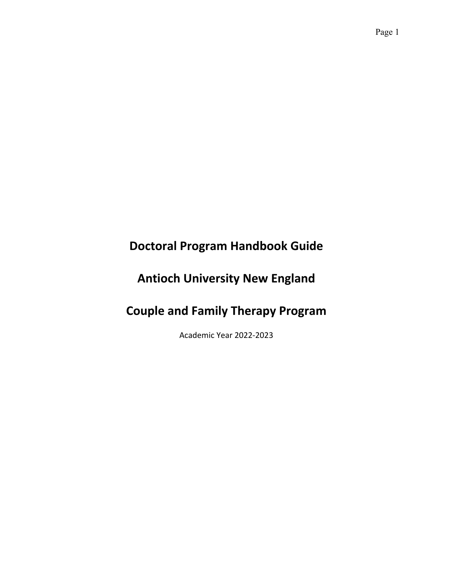# **Doctoral Program Handbook Guide**

# **Antioch University New England**

# **Couple and Family Therapy Program**

Academic Year 2022-2023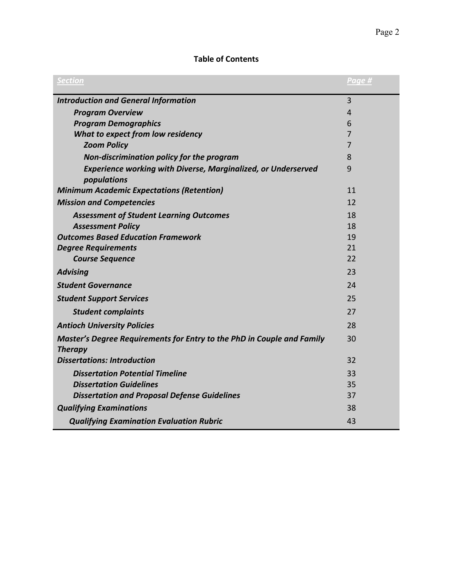# **Table of Contents**

| <b>Section</b>                                                                           | Page #         |
|------------------------------------------------------------------------------------------|----------------|
| <b>Introduction and General Information</b>                                              | $\overline{3}$ |
| <b>Program Overview</b>                                                                  | 4              |
| <b>Program Demographics</b>                                                              | 6              |
| What to expect from low residency                                                        | 7              |
| <b>Zoom Policy</b>                                                                       | 7              |
| Non-discrimination policy for the program                                                | 8              |
| <b>Experience working with Diverse, Marginalized, or Underserved</b><br>populations      | 9              |
| <b>Minimum Academic Expectations (Retention)</b>                                         | 11             |
| <b>Mission and Competencies</b>                                                          | 12             |
| <b>Assessment of Student Learning Outcomes</b>                                           | 18             |
| <b>Assessment Policy</b>                                                                 | 18             |
| <b>Outcomes Based Education Framework</b>                                                | 19             |
| <b>Degree Requirements</b>                                                               | 21             |
| <b>Course Sequence</b>                                                                   | 22             |
| <b>Advising</b>                                                                          | 23             |
| <b>Student Governance</b>                                                                | 24             |
| <b>Student Support Services</b>                                                          | 25             |
| <b>Student complaints</b>                                                                | 27             |
| <b>Antioch University Policies</b>                                                       | 28             |
| Master's Degree Requirements for Entry to the PhD in Couple and Family<br><b>Therapy</b> | 30             |
| <b>Dissertations: Introduction</b>                                                       | 32             |
| <b>Dissertation Potential Timeline</b>                                                   | 33             |
| <b>Dissertation Guidelines</b>                                                           | 35             |
| <b>Dissertation and Proposal Defense Guidelines</b>                                      | 37             |
| <b>Qualifying Examinations</b>                                                           | 38             |
| <b>Qualifying Examination Evaluation Rubric</b>                                          | 43             |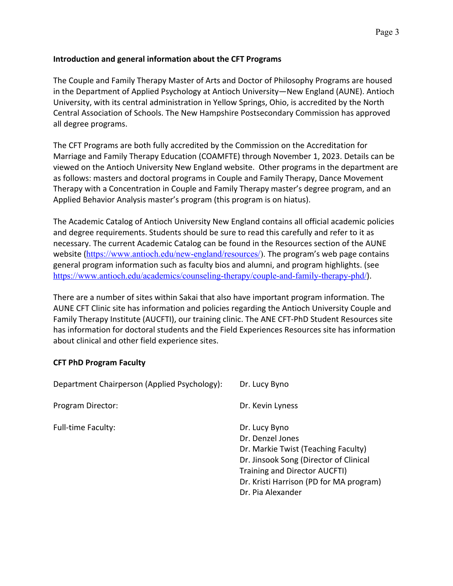## **Introduction and general information about the CFT Programs**

The Couple and Family Therapy Master of Arts and Doctor of Philosophy Programs are housed in the Department of Applied Psychology at Antioch University—New England (AUNE). Antioch University, with its central administration in Yellow Springs, Ohio, is accredited by the North Central Association of Schools. The New Hampshire Postsecondary Commission has approved all degree programs.

The CFT Programs are both fully accredited by the Commission on the Accreditation for Marriage and Family Therapy Education (COAMFTE) through November 1, 2023. Details can be viewed on the Antioch University New England website. Other programs in the department are as follows: masters and doctoral programs in Couple and Family Therapy, Dance Movement Therapy with a Concentration in Couple and Family Therapy master's degree program, and an Applied Behavior Analysis master's program (this program is on hiatus).

The Academic Catalog of Antioch University New England contains all official academic policies and degree requirements. Students should be sure to read this carefully and refer to it as necessary. The current Academic Catalog can be found in the Resources section of the AUNE website (https://www.antioch.edu/new-england/resources/). The program's web page contains general program information such as faculty bios and alumni, and program highlights. (see https://www.antioch.edu/academics/counseling-therapy/couple-and-family-therapy-phd/).

There are a number of sites within Sakai that also have important program information. The AUNE CFT Clinic site has information and policies regarding the Antioch University Couple and Family Therapy Institute (AUCFTI), our training clinic. The ANE CFT-PhD Student Resources site has information for doctoral students and the Field Experiences Resources site has information about clinical and other field experience sites.

#### **CFT PhD Program Faculty**

| Department Chairperson (Applied Psychology): | Dr. Lucy Byno                                                                                                                                                                                                       |
|----------------------------------------------|---------------------------------------------------------------------------------------------------------------------------------------------------------------------------------------------------------------------|
| Program Director:                            | Dr. Kevin Lyness                                                                                                                                                                                                    |
| <b>Full-time Faculty:</b>                    | Dr. Lucy Byno<br>Dr. Denzel Jones<br>Dr. Markie Twist (Teaching Faculty)<br>Dr. Jinsook Song (Director of Clinical<br>Training and Director AUCFTI)<br>Dr. Kristi Harrison (PD for MA program)<br>Dr. Pia Alexander |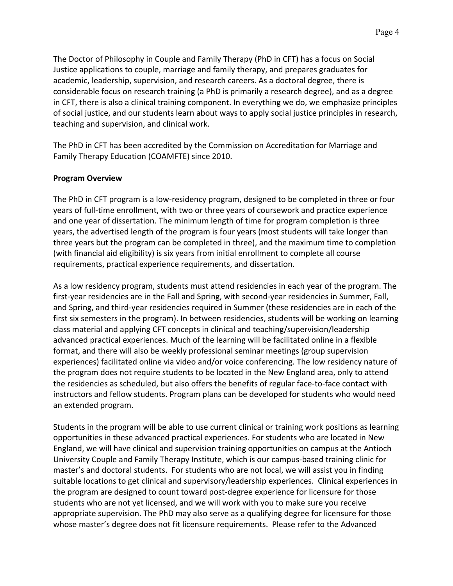The Doctor of Philosophy in Couple and Family Therapy (PhD in CFT) has a focus on Social Justice applications to couple, marriage and family therapy, and prepares graduates for academic, leadership, supervision, and research careers. As a doctoral degree, there is considerable focus on research training (a PhD is primarily a research degree), and as a degree in CFT, there is also a clinical training component. In everything we do, we emphasize principles of social justice, and our students learn about ways to apply social justice principles in research, teaching and supervision, and clinical work.

The PhD in CFT has been accredited by the Commission on Accreditation for Marriage and Family Therapy Education (COAMFTE) since 2010.

## **Program Overview**

The PhD in CFT program is a low-residency program, designed to be completed in three or four years of full-time enrollment, with two or three years of coursework and practice experience and one year of dissertation. The minimum length of time for program completion is three years, the advertised length of the program is four years (most students will take longer than three years but the program can be completed in three), and the maximum time to completion (with financial aid eligibility) is six years from initial enrollment to complete all course requirements, practical experience requirements, and dissertation.

As a low residency program, students must attend residencies in each year of the program. The first-year residencies are in the Fall and Spring, with second-year residencies in Summer, Fall, and Spring, and third-year residencies required in Summer (these residencies are in each of the first six semesters in the program). In between residencies, students will be working on learning class material and applying CFT concepts in clinical and teaching/supervision/leadership advanced practical experiences. Much of the learning will be facilitated online in a flexible format, and there will also be weekly professional seminar meetings (group supervision experiences) facilitated online via video and/or voice conferencing. The low residency nature of the program does not require students to be located in the New England area, only to attend the residencies as scheduled, but also offers the benefits of regular face-to-face contact with instructors and fellow students. Program plans can be developed for students who would need an extended program.

Students in the program will be able to use current clinical or training work positions as learning opportunities in these advanced practical experiences. For students who are located in New England, we will have clinical and supervision training opportunities on campus at the Antioch University Couple and Family Therapy Institute, which is our campus-based training clinic for master's and doctoral students. For students who are not local, we will assist you in finding suitable locations to get clinical and supervisory/leadership experiences. Clinical experiences in the program are designed to count toward post-degree experience for licensure for those students who are not yet licensed, and we will work with you to make sure you receive appropriate supervision. The PhD may also serve as a qualifying degree for licensure for those whose master's degree does not fit licensure requirements. Please refer to the Advanced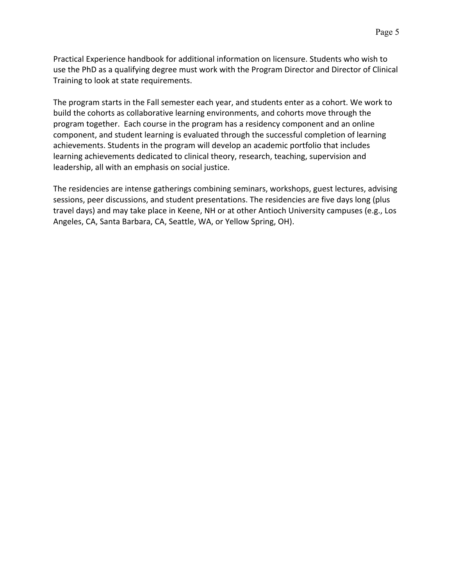Practical Experience handbook for additional information on licensure. Students who wish to use the PhD as a qualifying degree must work with the Program Director and Director of Clinical Training to look at state requirements.

The program starts in the Fall semester each year, and students enter as a cohort. We work to build the cohorts as collaborative learning environments, and cohorts move through the program together. Each course in the program has a residency component and an online component, and student learning is evaluated through the successful completion of learning achievements. Students in the program will develop an academic portfolio that includes learning achievements dedicated to clinical theory, research, teaching, supervision and leadership, all with an emphasis on social justice.

The residencies are intense gatherings combining seminars, workshops, guest lectures, advising sessions, peer discussions, and student presentations. The residencies are five days long (plus travel days) and may take place in Keene, NH or at other Antioch University campuses (e.g., Los Angeles, CA, Santa Barbara, CA, Seattle, WA, or Yellow Spring, OH).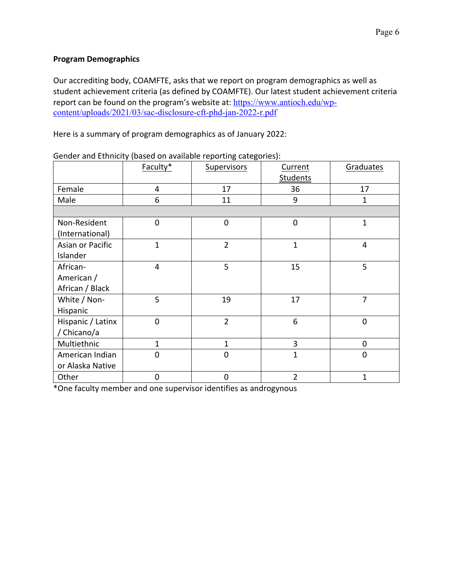## **Program Demographics**

Our accrediting body, COAMFTE, asks that we report on program demographics as well as student achievement criteria (as defined by COAMFTE). Our latest student achievement criteria report can be found on the program's website at: https://www.antioch.edu/wpcontent/uploads/2021/03/sac-disclosure-cft-phd-jan-2022-r.pdf

Here is a summary of program demographics as of January 2022:

|                                           | Faculty*       | <b>Supervisors</b> | Current<br><b>Students</b> | Graduates      |
|-------------------------------------------|----------------|--------------------|----------------------------|----------------|
| Female                                    | $\overline{4}$ | 17                 | 36                         | 17             |
| Male                                      | 6              | 11                 | 9                          | 1              |
|                                           |                |                    |                            |                |
| Non-Resident<br>(International)           | $\mathbf 0$    | $\mathbf 0$        | $\mathbf 0$                | $\mathbf 1$    |
| Asian or Pacific<br>Islander              | $\overline{1}$ | $\overline{2}$     | $\overline{1}$             | 4              |
| African-<br>American /<br>African / Black | $\overline{4}$ | 5                  | 15                         | 5              |
| White / Non-<br>Hispanic                  | 5              | 19                 | 17                         | $\overline{7}$ |
| Hispanic / Latinx<br>/ Chicano/a          | $\mathbf 0$    | $\overline{2}$     | 6                          | 0              |
| Multiethnic                               | $\mathbf{1}$   | $\mathbf{1}$       | 3                          | 0              |
| American Indian<br>or Alaska Native       | $\mathbf 0$    | $\overline{0}$     | $\overline{1}$             | 0              |
| Other                                     | $\mathbf 0$    | $\mathbf 0$        | $\overline{2}$             | 1              |

Gender and Ethnicity (based on available reporting categories):

\*One faculty member and one supervisor identifies as androgynous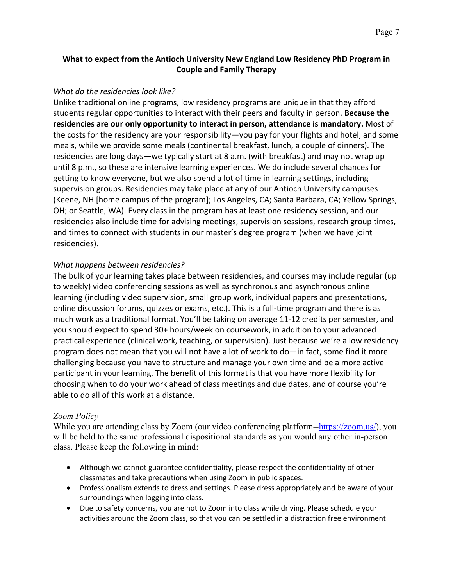## **What to expect from the Antioch University New England Low Residency PhD Program in Couple and Family Therapy**

#### *What do the residencies look like?*

Unlike traditional online programs, low residency programs are unique in that they afford students regular opportunities to interact with their peers and faculty in person. **Because the residencies are our only opportunity to interact in person, attendance is mandatory.** Most of the costs for the residency are your responsibility—you pay for your flights and hotel, and some meals, while we provide some meals (continental breakfast, lunch, a couple of dinners). The residencies are long days—we typically start at 8 a.m. (with breakfast) and may not wrap up until 8 p.m., so these are intensive learning experiences. We do include several chances for getting to know everyone, but we also spend a lot of time in learning settings, including supervision groups. Residencies may take place at any of our Antioch University campuses (Keene, NH [home campus of the program]; Los Angeles, CA; Santa Barbara, CA; Yellow Springs, OH; or Seattle, WA). Every class in the program has at least one residency session, and our residencies also include time for advising meetings, supervision sessions, research group times, and times to connect with students in our master's degree program (when we have joint residencies).

#### *What happens between residencies?*

The bulk of your learning takes place between residencies, and courses may include regular (up to weekly) video conferencing sessions as well as synchronous and asynchronous online learning (including video supervision, small group work, individual papers and presentations, online discussion forums, quizzes or exams, etc.). This is a full-time program and there is as much work as a traditional format. You'll be taking on average 11-12 credits per semester, and you should expect to spend 30+ hours/week on coursework, in addition to your advanced practical experience (clinical work, teaching, or supervision). Just because we're a low residency program does not mean that you will not have a lot of work to do—in fact, some find it more challenging because you have to structure and manage your own time and be a more active participant in your learning. The benefit of this format is that you have more flexibility for choosing when to do your work ahead of class meetings and due dates, and of course you're able to do all of this work at a distance.

#### *Zoom Policy*

While you are attending class by Zoom (our video conferencing platform-- $\frac{https://zoom.us/)}{https://zoom.us/)}$ , you will be held to the same professional dispositional standards as you would any other in-person class. Please keep the following in mind:

- Although we cannot guarantee confidentiality, please respect the confidentiality of other classmates and take precautions when using Zoom in public spaces.
- Professionalism extends to dress and settings. Please dress appropriately and be aware of your surroundings when logging into class.
- Due to safety concerns, you are not to Zoom into class while driving. Please schedule your activities around the Zoom class, so that you can be settled in a distraction free environment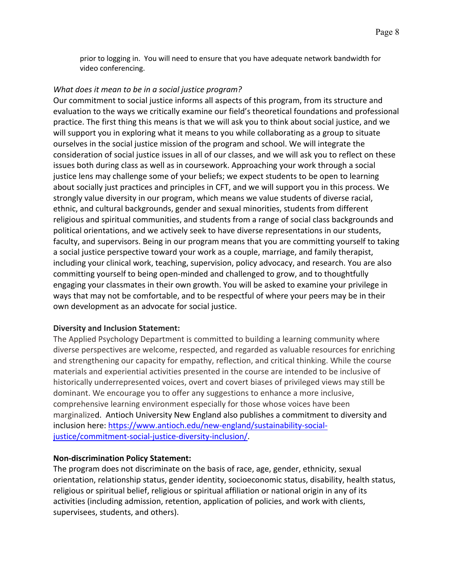prior to logging in. You will need to ensure that you have adequate network bandwidth for video conferencing.

## *What does it mean to be in a social justice program?*

Our commitment to social justice informs all aspects of this program, from its structure and evaluation to the ways we critically examine our field's theoretical foundations and professional practice. The first thing this means is that we will ask you to think about social justice, and we will support you in exploring what it means to you while collaborating as a group to situate ourselves in the social justice mission of the program and school. We will integrate the consideration of social justice issues in all of our classes, and we will ask you to reflect on these issues both during class as well as in coursework. Approaching your work through a social justice lens may challenge some of your beliefs; we expect students to be open to learning about socially just practices and principles in CFT, and we will support you in this process. We strongly value diversity in our program, which means we value students of diverse racial, ethnic, and cultural backgrounds, gender and sexual minorities, students from different religious and spiritual communities, and students from a range of social class backgrounds and political orientations, and we actively seek to have diverse representations in our students, faculty, and supervisors. Being in our program means that you are committing yourself to taking a social justice perspective toward your work as a couple, marriage, and family therapist, including your clinical work, teaching, supervision, policy advocacy, and research. You are also committing yourself to being open-minded and challenged to grow, and to thoughtfully engaging your classmates in their own growth. You will be asked to examine your privilege in ways that may not be comfortable, and to be respectful of where your peers may be in their own development as an advocate for social justice.

#### **Diversity and Inclusion Statement:**

The Applied Psychology Department is committed to building a learning community where diverse perspectives are welcome, respected, and regarded as valuable resources for enriching and strengthening our capacity for empathy, reflection, and critical thinking. While the course materials and experiential activities presented in the course are intended to be inclusive of historically underrepresented voices, overt and covert biases of privileged views may still be dominant. We encourage you to offer any suggestions to enhance a more inclusive, comprehensive learning environment especially for those whose voices have been marginalized. Antioch University New England also publishes a commitment to diversity and inclusion here: https://www.antioch.edu/new-england/sustainability-socialjustice/commitment-social-justice-diversity-inclusion/.

#### **Non-discrimination Policy Statement:**

The program does not discriminate on the basis of race, age, gender, ethnicity, sexual orientation, relationship status, gender identity, socioeconomic status, disability, health status, religious or spiritual belief, religious or spiritual affiliation or national origin in any of its activities (including admission, retention, application of policies, and work with clients, supervisees, students, and others).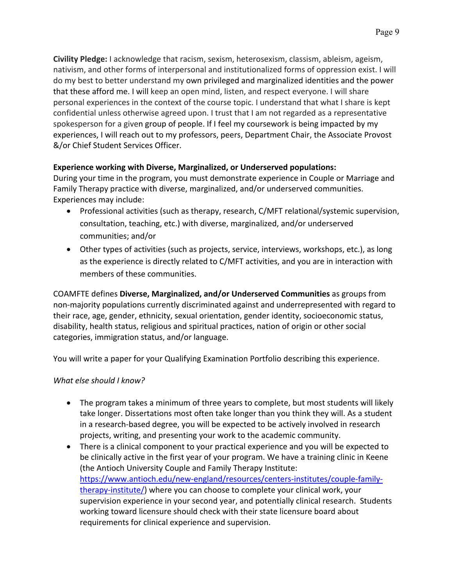**Civility Pledge:** I acknowledge that racism, sexism, heterosexism, classism, ableism, ageism, nativism, and other forms of interpersonal and institutionalized forms of oppression exist. I will do my best to better understand my own privileged and marginalized identities and the power that these afford me. I will keep an open mind, listen, and respect everyone. I will share personal experiences in the context of the course topic. I understand that what I share is kept confidential unless otherwise agreed upon. I trust that I am not regarded as a representative spokesperson for a given group of people. If I feel my coursework is being impacted by my experiences, I will reach out to my professors, peers, Department Chair, the Associate Provost &/or Chief Student Services Officer.

## **Experience working with Diverse, Marginalized, or Underserved populations:**

During your time in the program, you must demonstrate experience in Couple or Marriage and Family Therapy practice with diverse, marginalized, and/or underserved communities. Experiences may include:

- Professional activities (such as therapy, research, C/MFT relational/systemic supervision, consultation, teaching, etc.) with diverse, marginalized, and/or underserved communities; and/or
- Other types of activities (such as projects, service, interviews, workshops, etc.), as long as the experience is directly related to C/MFT activities, and you are in interaction with members of these communities.

COAMFTE defines **Diverse, Marginalized, and/or Underserved Communities** as groups from non-majority populations currently discriminated against and underrepresented with regard to their race, age, gender, ethnicity, sexual orientation, gender identity, socioeconomic status, disability, health status, religious and spiritual practices, nation of origin or other social categories, immigration status, and/or language.

You will write a paper for your Qualifying Examination Portfolio describing this experience.

## *What else should I know?*

- The program takes a minimum of three years to complete, but most students will likely take longer. Dissertations most often take longer than you think they will. As a student in a research-based degree, you will be expected to be actively involved in research projects, writing, and presenting your work to the academic community.
- There is a clinical component to your practical experience and you will be expected to be clinically active in the first year of your program. We have a training clinic in Keene (the Antioch University Couple and Family Therapy Institute: https://www.antioch.edu/new-england/resources/centers-institutes/couple-familytherapy-institute/) where you can choose to complete your clinical work, your supervision experience in your second year, and potentially clinical research. Students working toward licensure should check with their state licensure board about requirements for clinical experience and supervision.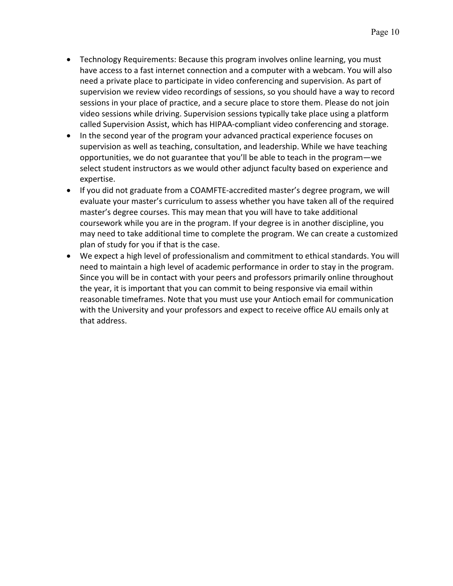- Technology Requirements: Because this program involves online learning, you must have access to a fast internet connection and a computer with a webcam. You will also need a private place to participate in video conferencing and supervision. As part of supervision we review video recordings of sessions, so you should have a way to record sessions in your place of practice, and a secure place to store them. Please do not join video sessions while driving. Supervision sessions typically take place using a platform called Supervision Assist, which has HIPAA-compliant video conferencing and storage.
- In the second year of the program your advanced practical experience focuses on supervision as well as teaching, consultation, and leadership. While we have teaching opportunities, we do not guarantee that you'll be able to teach in the program—we select student instructors as we would other adjunct faculty based on experience and expertise.
- If you did not graduate from a COAMFTE-accredited master's degree program, we will evaluate your master's curriculum to assess whether you have taken all of the required master's degree courses. This may mean that you will have to take additional coursework while you are in the program. If your degree is in another discipline, you may need to take additional time to complete the program. We can create a customized plan of study for you if that is the case.
- We expect a high level of professionalism and commitment to ethical standards. You will need to maintain a high level of academic performance in order to stay in the program. Since you will be in contact with your peers and professors primarily online throughout the year, it is important that you can commit to being responsive via email within reasonable timeframes. Note that you must use your Antioch email for communication with the University and your professors and expect to receive office AU emails only at that address.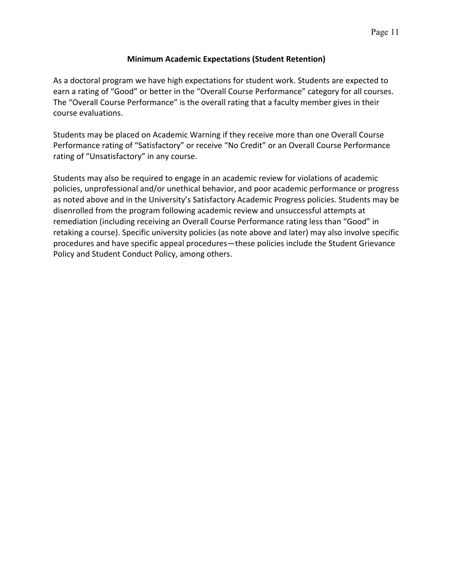#### **Minimum Academic Expectations (Student Retention)**

As a doctoral program we have high expectations for student work. Students are expected to earn a rating of "Good" or better in the "Overall Course Performance" category for all courses. The "Overall Course Performance" is the overall rating that a faculty member gives in their course evaluations.

Students may be placed on Academic Warning if they receive more than one Overall Course Performance rating of "Satisfactory" or receive "No Credit" or an Overall Course Performance rating of "Unsatisfactory" in any course.

Students may also be required to engage in an academic review for violations of academic policies, unprofessional and/or unethical behavior, and poor academic performance or progress as noted above and in the University's Satisfactory Academic Progress policies. Students may be disenrolled from the program following academic review and unsuccessful attempts at remediation (including receiving an Overall Course Performance rating less than "Good" in retaking a course). Specific university policies (as note above and later) may also involve specific procedures and have specific appeal procedures—these policies include the Student Grievance Policy and Student Conduct Policy, among others.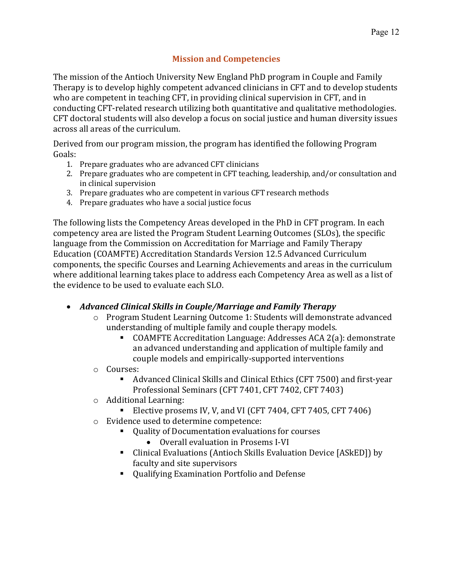# **Mission and Competencies**

The mission of the Antioch University New England PhD program in Couple and Family Therapy is to develop highly competent advanced clinicians in CFT and to develop students who are competent in teaching CFT, in providing clinical supervision in CFT, and in conducting CFT-related research utilizing both quantitative and qualitative methodologies. CFT doctoral students will also develop a focus on social justice and human diversity issues across all areas of the curriculum.

Derived from our program mission, the program has identified the following Program Goals:

- 1. Prepare graduates who are advanced CFT clinicians
- 2. Prepare graduates who are competent in CFT teaching, leadership, and/or consultation and in clinical supervision
- 3. Prepare graduates who are competent in various CFT research methods
- 4. Prepare graduates who have a social justice focus

The following lists the Competency Areas developed in the PhD in CFT program. In each competency area are listed the Program Student Learning Outcomes (SLOs), the specific language from the Commission on Accreditation for Marriage and Family Therapy Education (COAMFTE) Accreditation Standards Version 12.5 Advanced Curriculum components, the specific Courses and Learning Achievements and areas in the curriculum where additional learning takes place to address each Competency Area as well as a list of the evidence to be used to evaluate each SLO.

# • *Advanced Clinical Skills in Couple/Marriage and Family Therapy*

- o Program Student Learning Outcome 1: Students will demonstrate advanced understanding of multiple family and couple therapy models.
	- COAMFTE Accreditation Language: Addresses ACA 2(a): demonstrate an advanced understanding and application of multiple family and couple models and empirically-supported interventions
- o Courses:
	- Advanced Clinical Skills and Clinical Ethics (CFT 7500) and first-year Professional Seminars (CFT 7401, CFT 7402, CFT 7403)
- $\circ$  Additional Learning:
	- Elective prosems IV, V, and VI (CFT  $7404$ , CFT  $7405$ , CFT  $7406$ )
- $\circ$  Evidence used to determine competence:
	- Quality of Documentation evaluations for courses
		- Overall evaluation in Prosems I-VI
	- Clinical Evaluations (Antioch Skills Evaluation Device [ASkED]) by faculty and site supervisors
	- Qualifying Examination Portfolio and Defense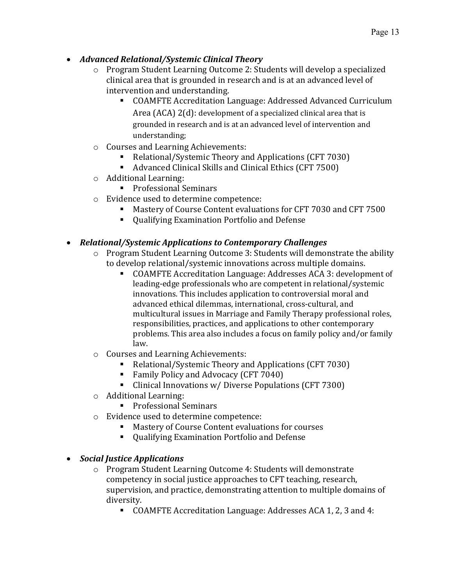- *Advanced Relational/Systemic Clinical Theory*
	- $\circ$  Program Student Learning Outcome 2: Students will develop a specialized clinical area that is grounded in research and is at an advanced level of intervention and understanding.
		- COAMFTE Accreditation Language: Addressed Advanced Curriculum Area  $(ACA)$   $2(d)$ : development of a specialized clinical area that is grounded in research and is at an advanced level of intervention and understanding;
	- $\circ$  Courses and Learning Achievements:
		- Relational/Systemic Theory and Applications (CFT 7030)
		- Advanced Clinical Skills and Clinical Ethics (CFT 7500)
	- $\circ$  Additional Learning:
		- Professional Seminars
	- $\circ$  Evidence used to determine competence:
		- Mastery of Course Content evaluations for CFT 7030 and CFT 7500
		- Qualifying Examination Portfolio and Defense

## • *Relational/Systemic Applications to Contemporary Challenges*

- $\circ$  Program Student Learning Outcome 3: Students will demonstrate the ability to develop relational/systemic innovations across multiple domains.
	- COAMFTE Accreditation Language: Addresses ACA 3: development of leading-edge professionals who are competent in relational/systemic innovations. This includes application to controversial moral and advanced ethical dilemmas, international, cross-cultural, and multicultural issues in Marriage and Family Therapy professional roles, responsibilities, practices, and applications to other contemporary problems. This area also includes a focus on family policy and/or family law.
- o Courses and Learning Achievements:
	- Relational/Systemic Theory and Applications (CFT 7030)
	- Family Policy and Advocacy (CFT 7040)
	- Clinical Innovations w/ Diverse Populations (CFT 7300)
- $\circ$  Additional Learning:
	- Professional Seminars
- $\circ$  Evidence used to determine competence:
	- Mastery of Course Content evaluations for courses
	- Oualifying Examination Portfolio and Defense
- *Social Justice Applications*
	- o Program Student Learning Outcome 4: Students will demonstrate competency in social justice approaches to CFT teaching, research, supervision, and practice, demonstrating attention to multiple domains of diversity.
		- COAMFTE Accreditation Language: Addresses ACA 1, 2, 3 and 4: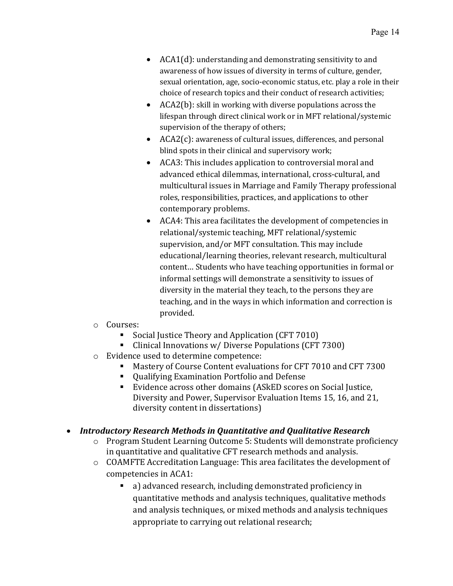- $ACA1(d)$ : understanding and demonstrating sensitivity to and awareness of how issues of diversity in terms of culture, gender, sexual orientation, age, socio-economic status, etc. play a role in their choice of research topics and their conduct of research activities;
- ACA2(b): skill in working with diverse populations across the lifespan through direct clinical work or in MFT relational/systemic supervision of the therapy of others;
- $ACA2(c)$ : awareness of cultural issues, differences, and personal blind spots in their clinical and supervisory work;
- ACA3: This includes application to controversial moral and advanced ethical dilemmas, international, cross-cultural, and multicultural issues in Marriage and Family Therapy professional roles, responsibilities, practices, and applications to other contemporary problems.
- ACA4: This area facilitates the development of competencies in relational/systemic teaching, MFT relational/systemic supervision, and/or MFT consultation. This may include educational/learning theories, relevant research, multicultural content... Students who have teaching opportunities in formal or informal settings will demonstrate a sensitivity to issues of diversity in the material they teach, to the persons they are teaching, and in the ways in which information and correction is provided.
- o Courses:
	- Social Justice Theory and Application (CFT 7010)
	- Clinical Innovations w/ Diverse Populations (CFT 7300)
- o Evidence used to determine competence:
	- Mastery of Course Content evaluations for CFT 7010 and CFT 7300
	- Qualifying Examination Portfolio and Defense
	- Evidence across other domains (ASkED scores on Social Justice, Diversity and Power, Supervisor Evaluation Items 15, 16, and 21, diversity content in dissertations)

# • *Introductory Research Methods in Quantitative and Qualitative Research*

- $\circ$  Program Student Learning Outcome 5: Students will demonstrate proficiency in quantitative and qualitative CFT research methods and analysis.
- $\circ$  COAMFTE Accreditation Language: This area facilitates the development of competencies in ACA1:
	- a) advanced research, including demonstrated proficiency in quantitative methods and analysis techniques, qualitative methods and analysis techniques, or mixed methods and analysis techniques appropriate to carrying out relational research;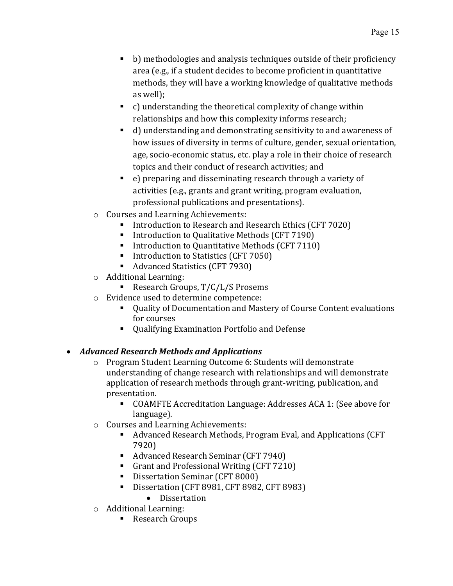- b) methodologies and analysis techniques outside of their proficiency area (e.g., if a student decides to become proficient in quantitative methods, they will have a working knowledge of qualitative methods as well);
- $\bullet$  c) understanding the theoretical complexity of change within relationships and how this complexity informs research;
- d) understanding and demonstrating sensitivity to and awareness of how issues of diversity in terms of culture, gender, sexual orientation, age, socio-economic status, etc. play a role in their choice of research topics and their conduct of research activities; and
- e) preparing and disseminating research through a variety of activities (e.g., grants and grant writing, program evaluation, professional publications and presentations).
- $\circ$  Courses and Learning Achievements:
	- Introduction to Research and Research Ethics (CFT 7020)
	- Introduction to Qualitative Methods (CFT 7190)
	- Introduction to Quantitative Methods (CFT 7110)
	- Introduction to Statistics (CFT 7050)
	- Advanced Statistics (CFT 7930)
- $\circ$  Additional Learning:
	- Research Groups, T/C/L/S Prosems
- $\circ$  Evidence used to determine competence:
	- Quality of Documentation and Mastery of Course Content evaluations for courses
	- Qualifying Examination Portfolio and Defense

# • *Advanced Research Methods and Applications*

- o Program Student Learning Outcome 6: Students will demonstrate understanding of change research with relationships and will demonstrate application of research methods through grant-writing, publication, and presentation.
	- COAMFTE Accreditation Language: Addresses ACA 1: (See above for language).
- o Courses and Learning Achievements:
	- Advanced Research Methods, Program Eval, and Applications (CFT 7920)
	- Advanced Research Seminar (CFT 7940)
	- Grant and Professional Writing (CFT 7210)
	- Dissertation Seminar (CFT 8000)
		- Dissertation (CFT 8981, CFT 8982, CFT 8983)
			- Dissertation
- $\circ$  Additional Learning:
	- Research Groups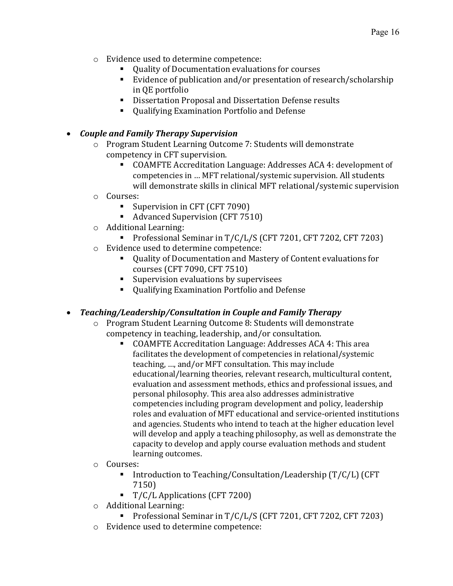- $\circ$  Evidence used to determine competence:
	- Quality of Documentation evaluations for courses
	- Evidence of publication and/or presentation of research/scholarship in QE portfolio
	- Dissertation Proposal and Dissertation Defense results
	- Qualifying Examination Portfolio and Defense

# • *Couple and Family Therapy Supervision*

- $\circ$  Program Student Learning Outcome 7: Students will demonstrate competency in CFT supervision.
	- COAMFTE Accreditation Language: Addresses ACA 4: development of competencies in ... MFT relational/systemic supervision. All students will demonstrate skills in clinical MFT relational/systemic supervision
- o Courses:
	- Supervision in CFT (CFT 7090)
	- Advanced Supervision (CFT 7510)
- $\circ$  Additional Learning:
	- Professional Seminar in T/C/L/S (CFT 7201, CFT 7202, CFT 7203)
- $\circ$  Evidence used to determine competence:
	- Quality of Documentation and Mastery of Content evaluations for courses (CFT 7090, CFT 7510)
	- Supervision evaluations by supervisees
	- Qualifying Examination Portfolio and Defense

# • Teaching/Leadership/Consultation in Couple and Family Therapy

- o Program Student Learning Outcome 8: Students will demonstrate competency in teaching, leadership, and/or consultation.
	- COAMFTE Accreditation Language: Addresses ACA 4: This area facilitates the development of competencies in relational/systemic teaching, ..., and/or MFT consultation. This may include educational/learning theories, relevant research, multicultural content, evaluation and assessment methods, ethics and professional issues, and personal philosophy. This area also addresses administrative competencies including program development and policy, leadership roles and evaluation of MFT educational and service-oriented institutions and agencies. Students who intend to teach at the higher education level will develop and apply a teaching philosophy, as well as demonstrate the capacity to develop and apply course evaluation methods and student learning outcomes.
- o Courses:
	- **Introduction to Teaching/Consultation/Leadership**  $(T/C/L)$  **(CFT** 7150)
	- T/C/L Applications (CFT 7200)
- $\circ$  Additional Learning:
	- Professional Seminar in T/C/L/S (CFT 7201, CFT 7202, CFT 7203)
- $\circ$  Evidence used to determine competence: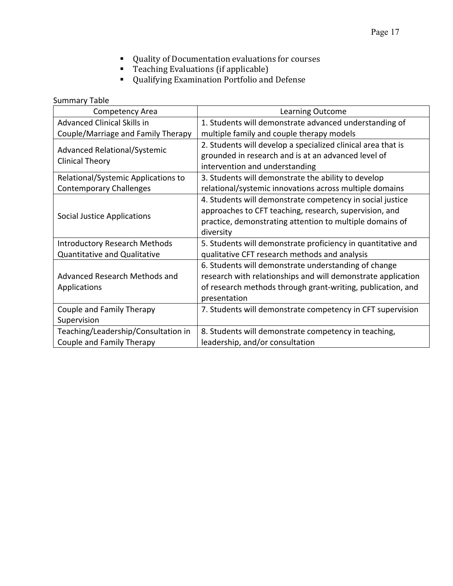- Quality of Documentation evaluations for courses
- Teaching Evaluations (if applicable)
- Qualifying Examination Portfolio and Defense

Summary Table

| Competency Area                      | <b>Learning Outcome</b>                                      |
|--------------------------------------|--------------------------------------------------------------|
| <b>Advanced Clinical Skills in</b>   | 1. Students will demonstrate advanced understanding of       |
| Couple/Marriage and Family Therapy   | multiple family and couple therapy models                    |
|                                      | 2. Students will develop a specialized clinical area that is |
| <b>Advanced Relational/Systemic</b>  | grounded in research and is at an advanced level of          |
| <b>Clinical Theory</b>               | intervention and understanding                               |
| Relational/Systemic Applications to  | 3. Students will demonstrate the ability to develop          |
| <b>Contemporary Challenges</b>       | relational/systemic innovations across multiple domains      |
|                                      | 4. Students will demonstrate competency in social justice    |
|                                      | approaches to CFT teaching, research, supervision, and       |
| <b>Social Justice Applications</b>   | practice, demonstrating attention to multiple domains of     |
|                                      | diversity                                                    |
| <b>Introductory Research Methods</b> | 5. Students will demonstrate proficiency in quantitative and |
| <b>Quantitative and Qualitative</b>  | qualitative CFT research methods and analysis                |
|                                      | 6. Students will demonstrate understanding of change         |
| Advanced Research Methods and        | research with relationships and will demonstrate application |
| Applications                         | of research methods through grant-writing, publication, and  |
|                                      | presentation                                                 |
| Couple and Family Therapy            | 7. Students will demonstrate competency in CFT supervision   |
| Supervision                          |                                                              |
| Teaching/Leadership/Consultation in  | 8. Students will demonstrate competency in teaching,         |
| Couple and Family Therapy            | leadership, and/or consultation                              |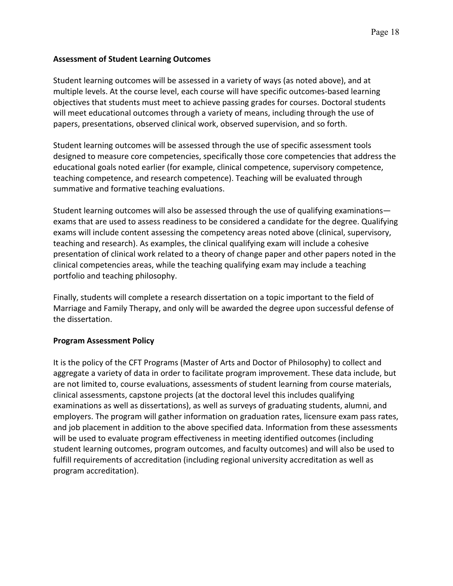#### **Assessment of Student Learning Outcomes**

Student learning outcomes will be assessed in a variety of ways (as noted above), and at multiple levels. At the course level, each course will have specific outcomes-based learning objectives that students must meet to achieve passing grades for courses. Doctoral students will meet educational outcomes through a variety of means, including through the use of papers, presentations, observed clinical work, observed supervision, and so forth.

Student learning outcomes will be assessed through the use of specific assessment tools designed to measure core competencies, specifically those core competencies that address the educational goals noted earlier (for example, clinical competence, supervisory competence, teaching competence, and research competence). Teaching will be evaluated through summative and formative teaching evaluations.

Student learning outcomes will also be assessed through the use of qualifying examinations exams that are used to assess readiness to be considered a candidate for the degree. Qualifying exams will include content assessing the competency areas noted above (clinical, supervisory, teaching and research). As examples, the clinical qualifying exam will include a cohesive presentation of clinical work related to a theory of change paper and other papers noted in the clinical competencies areas, while the teaching qualifying exam may include a teaching portfolio and teaching philosophy.

Finally, students will complete a research dissertation on a topic important to the field of Marriage and Family Therapy, and only will be awarded the degree upon successful defense of the dissertation.

#### **Program Assessment Policy**

It is the policy of the CFT Programs (Master of Arts and Doctor of Philosophy) to collect and aggregate a variety of data in order to facilitate program improvement. These data include, but are not limited to, course evaluations, assessments of student learning from course materials, clinical assessments, capstone projects (at the doctoral level this includes qualifying examinations as well as dissertations), as well as surveys of graduating students, alumni, and employers. The program will gather information on graduation rates, licensure exam pass rates, and job placement in addition to the above specified data. Information from these assessments will be used to evaluate program effectiveness in meeting identified outcomes (including student learning outcomes, program outcomes, and faculty outcomes) and will also be used to fulfill requirements of accreditation (including regional university accreditation as well as program accreditation).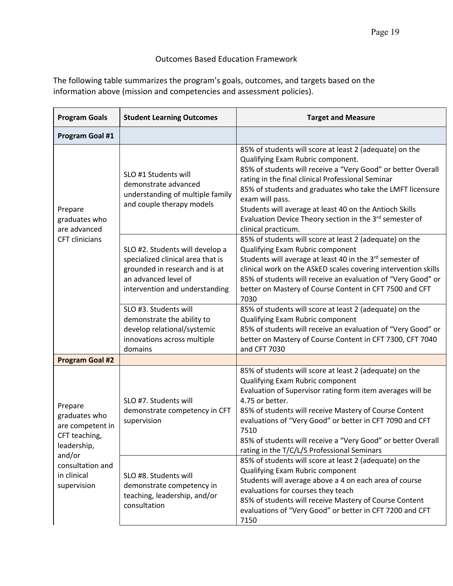# Outcomes Based Education Framework

The following table summarizes the program's goals, outcomes, and targets based on the information above (mission and competencies and assessment policies).

| <b>Program Goals</b><br><b>Student Learning Outcomes</b>                               |                                                                                                                                                                  | <b>Target and Measure</b>                                                                                                                                                                                                                                                                                                                                                                                                                                  |  |  |
|----------------------------------------------------------------------------------------|------------------------------------------------------------------------------------------------------------------------------------------------------------------|------------------------------------------------------------------------------------------------------------------------------------------------------------------------------------------------------------------------------------------------------------------------------------------------------------------------------------------------------------------------------------------------------------------------------------------------------------|--|--|
| Program Goal #1                                                                        |                                                                                                                                                                  |                                                                                                                                                                                                                                                                                                                                                                                                                                                            |  |  |
| Prepare<br>graduates who<br>are advanced                                               | SLO #1 Students will<br>demonstrate advanced<br>understanding of multiple family<br>and couple therapy models                                                    | 85% of students will score at least 2 (adequate) on the<br>Qualifying Exam Rubric component.<br>85% of students will receive a "Very Good" or better Overall<br>rating in the final clinical Professional Seminar<br>85% of students and graduates who take the LMFT licensure<br>exam will pass.<br>Students will average at least 40 on the Antioch Skills<br>Evaluation Device Theory section in the 3 <sup>rd</sup> semester of<br>clinical practicum. |  |  |
| <b>CFT</b> clinicians                                                                  | SLO #2. Students will develop a<br>specialized clinical area that is<br>grounded in research and is at<br>an advanced level of<br>intervention and understanding | 85% of students will score at least 2 (adequate) on the<br>Qualifying Exam Rubric component<br>Students will average at least 40 in the 3 <sup>rd</sup> semester of<br>clinical work on the ASkED scales covering intervention skills<br>85% of students will receive an evaluation of "Very Good" or<br>better on Mastery of Course Content in CFT 7500 and CFT<br>7030                                                                                   |  |  |
|                                                                                        | SLO #3. Students will<br>demonstrate the ability to<br>develop relational/systemic<br>innovations across multiple<br>domains                                     | 85% of students will score at least 2 (adequate) on the<br>Qualifying Exam Rubric component<br>85% of students will receive an evaluation of "Very Good" or<br>better on Mastery of Course Content in CFT 7300, CFT 7040<br>and CFT 7030                                                                                                                                                                                                                   |  |  |
| <b>Program Goal #2</b>                                                                 |                                                                                                                                                                  |                                                                                                                                                                                                                                                                                                                                                                                                                                                            |  |  |
| Prepare<br>graduates who<br>are competent in<br>CFT teaching,<br>leadership,<br>and/or | SLO #7. Students will<br>demonstrate competency in CFT<br>supervision                                                                                            | 85% of students will score at least 2 (adequate) on the<br>Qualifying Exam Rubric component<br>Evaluation of Supervisor rating form item averages will be<br>4.75 or better.<br>85% of students will receive Mastery of Course Content<br>evaluations of "Very Good" or better in CFT 7090 and CFT<br>7510<br>85% of students will receive a "Very Good" or better Overall<br>rating in the T/C/L/S Professional Seminars                                  |  |  |
| consultation and<br>in clinical<br>supervision                                         | SLO #8. Students will<br>demonstrate competency in<br>teaching, leadership, and/or<br>consultation                                                               | 85% of students will score at least 2 (adequate) on the<br>Qualifying Exam Rubric component<br>Students will average above a 4 on each area of course<br>evaluations for courses they teach<br>85% of students will receive Mastery of Course Content<br>evaluations of "Very Good" or better in CFT 7200 and CFT<br>7150                                                                                                                                  |  |  |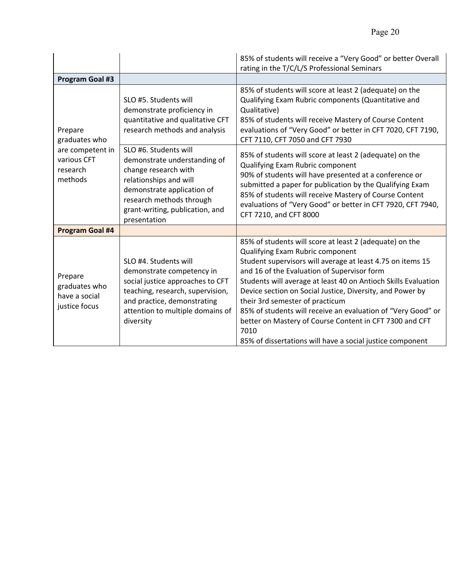|                                                                                    | 85% of students will receive a "Very Good" or better Overall<br>rating in the T/C/L/S Professional Seminars                                                                                                          |                                                                                                                                                                                                                                                                                                                                                                                                                                                                                                                                                                            |  |
|------------------------------------------------------------------------------------|----------------------------------------------------------------------------------------------------------------------------------------------------------------------------------------------------------------------|----------------------------------------------------------------------------------------------------------------------------------------------------------------------------------------------------------------------------------------------------------------------------------------------------------------------------------------------------------------------------------------------------------------------------------------------------------------------------------------------------------------------------------------------------------------------------|--|
| <b>Program Goal #3</b>                                                             |                                                                                                                                                                                                                      |                                                                                                                                                                                                                                                                                                                                                                                                                                                                                                                                                                            |  |
| Prepare<br>graduates who<br>are competent in<br>various CFT<br>research<br>methods | SLO #5. Students will<br>demonstrate proficiency in<br>quantitative and qualitative CFT<br>research methods and analysis                                                                                             | 85% of students will score at least 2 (adequate) on the<br>Qualifying Exam Rubric components (Quantitative and<br>Qualitative)<br>85% of students will receive Mastery of Course Content<br>evaluations of "Very Good" or better in CFT 7020, CFT 7190,<br>CFT 7110, CFT 7050 and CFT 7930                                                                                                                                                                                                                                                                                 |  |
|                                                                                    | SLO #6. Students will<br>demonstrate understanding of<br>change research with<br>relationships and will<br>demonstrate application of<br>research methods through<br>grant-writing, publication, and<br>presentation | 85% of students will score at least 2 (adequate) on the<br>Qualifying Exam Rubric component<br>90% of students will have presented at a conference or<br>submitted a paper for publication by the Qualifying Exam<br>85% of students will receive Mastery of Course Content<br>evaluations of "Very Good" or better in CFT 7920, CFT 7940,<br>CFT 7210, and CFT 8000                                                                                                                                                                                                       |  |
| <b>Program Goal #4</b>                                                             |                                                                                                                                                                                                                      |                                                                                                                                                                                                                                                                                                                                                                                                                                                                                                                                                                            |  |
| Prepare<br>graduates who<br>have a social<br>justice focus                         | SLO #4. Students will<br>demonstrate competency in<br>social justice approaches to CFT<br>teaching, research, supervision,<br>and practice, demonstrating<br>attention to multiple domains of<br>diversity           | 85% of students will score at least 2 (adequate) on the<br>Qualifying Exam Rubric component<br>Student supervisors will average at least 4.75 on items 15<br>and 16 of the Evaluation of Supervisor form<br>Students will average at least 40 on Antioch Skills Evaluation<br>Device section on Social Justice, Diversity, and Power by<br>their 3rd semester of practicum<br>85% of students will receive an evaluation of "Very Good" or<br>better on Mastery of Course Content in CFT 7300 and CFT<br>7010<br>85% of dissertations will have a social justice component |  |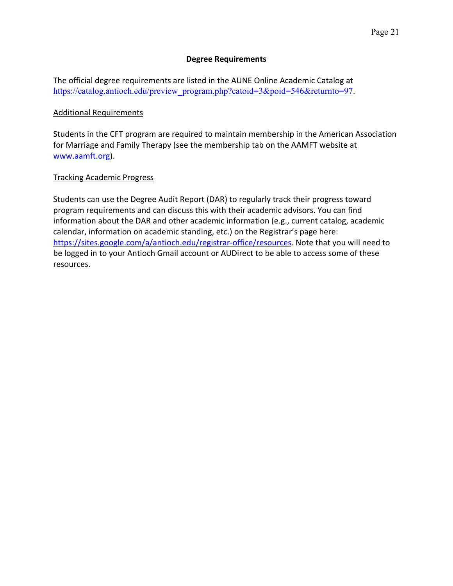#### **Degree Requirements**

The official degree requirements are listed in the AUNE Online Academic Catalog at https://catalog.antioch.edu/preview\_program.php?catoid=3&poid=546&returnto=97.

#### Additional Requirements

Students in the CFT program are required to maintain membership in the American Association for Marriage and Family Therapy (see the membership tab on the AAMFT website at www.aamft.org).

#### Tracking Academic Progress

Students can use the Degree Audit Report (DAR) to regularly track their progress toward program requirements and can discuss this with their academic advisors. You can find information about the DAR and other academic information (e.g., current catalog, academic calendar, information on academic standing, etc.) on the Registrar's page here: https://sites.google.com/a/antioch.edu/registrar-office/resources. Note that you will need to be logged in to your Antioch Gmail account or AUDirect to be able to access some of these resources.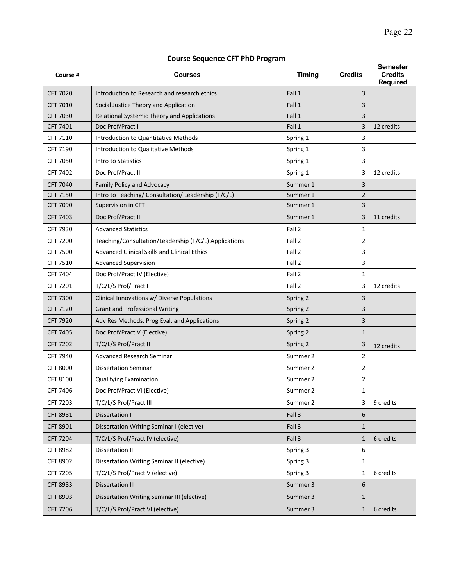## **Course Sequence CFT PhD Program**

| Course #        | Courses                                               | <b>Timing</b> | <b>Credits</b> | <b>Semester</b><br><b>Credits</b><br><b>Required</b> |
|-----------------|-------------------------------------------------------|---------------|----------------|------------------------------------------------------|
| <b>CFT 7020</b> | Introduction to Research and research ethics          | Fall 1        | 3              |                                                      |
| <b>CFT 7010</b> | Social Justice Theory and Application                 | Fall 1        | 3              |                                                      |
| CFT 7030        | Relational Systemic Theory and Applications           | Fall 1        | 3              |                                                      |
| <b>CFT 7401</b> | Doc Prof/Pract I                                      | Fall 1        | 3              | 12 credits                                           |
| CFT 7110        | Introduction to Quantitative Methods                  | Spring 1      | 3              |                                                      |
| CFT 7190        | Introduction to Qualitative Methods                   | Spring 1      | 3              |                                                      |
| CFT 7050        | Intro to Statistics                                   | Spring 1      | 3              |                                                      |
| CFT 7402        | Doc Prof/Pract II                                     | Spring 1      | 3              | 12 credits                                           |
| CFT 7040        | Family Policy and Advocacy                            | Summer 1      | 3              |                                                      |
| <b>CFT 7150</b> | Intro to Teaching/ Consultation/ Leadership (T/C/L)   | Summer 1      | $\overline{2}$ |                                                      |
| <b>CFT 7090</b> | Supervision in CFT                                    | Summer 1      | 3              |                                                      |
| <b>CFT 7403</b> | Doc Prof/Pract III                                    | Summer 1      | 3              | 11 credits                                           |
| CFT 7930        | <b>Advanced Statistics</b>                            | Fall 2        | $\mathbf{1}$   |                                                      |
| <b>CFT 7200</b> | Teaching/Consultation/Leadership (T/C/L) Applications | Fall 2        | 2              |                                                      |
| <b>CFT 7500</b> | Advanced Clinical Skills and Clinical Ethics          | Fall 2        | 3              |                                                      |
| CFT 7510        | <b>Advanced Supervision</b>                           | Fall 2        | 3              |                                                      |
| CFT 7404        | Doc Prof/Pract IV (Elective)                          | Fall 2        | $\mathbf{1}$   |                                                      |
| CFT 7201        | T/C/L/S Prof/Pract I                                  | Fall 2        | 3              | 12 credits                                           |
| <b>CFT 7300</b> | Clinical Innovations w/ Diverse Populations           | Spring 2      | 3              |                                                      |
| <b>CFT 7120</b> | <b>Grant and Professional Writing</b>                 | Spring 2      | 3              |                                                      |
| <b>CFT 7920</b> | Adv Res Methods, Prog Eval, and Applications          | Spring 2      | 3              |                                                      |
| <b>CFT 7405</b> | Doc Prof/Pract V (Elective)                           | Spring 2      | $\mathbf{1}$   |                                                      |
| <b>CFT 7202</b> | T/C/L/S Prof/Pract II                                 | Spring 2      | 3              | 12 credits                                           |
| <b>CFT 7940</b> | <b>Advanced Research Seminar</b>                      | Summer 2      | $\overline{2}$ |                                                      |
| <b>CFT 8000</b> | <b>Dissertation Seminar</b>                           | Summer 2      | 2              |                                                      |
| CFT 8100        | Qualifying Examination                                | Summer 2      | 2              |                                                      |
| CFT 7406        | Doc Prof/Pract VI (Elective)                          | Summer 2      | $\mathbf{1}$   |                                                      |
| CFT 7203        | T/C/L/S Prof/Pract III                                | Summer 2      | 3              | 9 credits                                            |
| CFT 8981        | Dissertation I                                        | Fall 3        | 6              |                                                      |
| CFT 8901        | Dissertation Writing Seminar I (elective)             | Fall 3        | $\mathbf{1}$   |                                                      |
| <b>CFT 7204</b> | T/C/L/S Prof/Pract IV (elective)                      | Fall 3        | $\mathbf{1}$   | 6 credits                                            |
| <b>CFT 8982</b> | <b>Dissertation II</b>                                | Spring 3      | 6              |                                                      |
| CFT 8902        | Dissertation Writing Seminar II (elective)            | Spring 3      | 1              |                                                      |
| CFT 7205        | T/C/L/S Prof/Pract V (elective)                       | Spring 3      | $\mathbf{1}$   | 6 credits                                            |
| <b>CFT 8983</b> | <b>Dissertation III</b>                               | Summer 3      | 6              |                                                      |
| CFT 8903        | Dissertation Writing Seminar III (elective)           | Summer 3      | $\mathbf{1}$   |                                                      |
| <b>CFT 7206</b> | T/C/L/S Prof/Pract VI (elective)                      | Summer 3      | $\mathbf{1}$   | 6 credits                                            |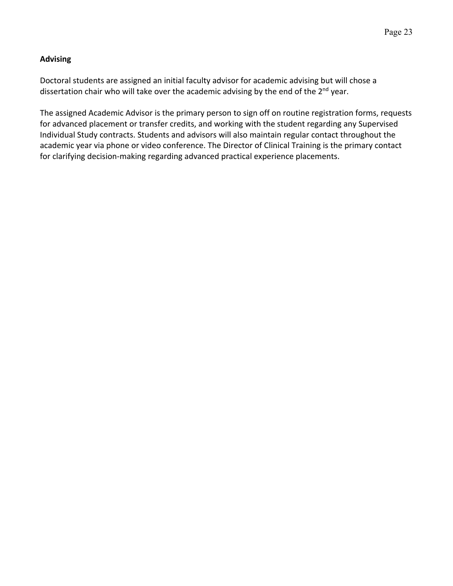## **Advising**

Doctoral students are assigned an initial faculty advisor for academic advising but will chose a dissertation chair who will take over the academic advising by the end of the  $2^{nd}$  year.

The assigned Academic Advisor is the primary person to sign off on routine registration forms, requests for advanced placement or transfer credits, and working with the student regarding any Supervised Individual Study contracts. Students and advisors will also maintain regular contact throughout the academic year via phone or video conference. The Director of Clinical Training is the primary contact for clarifying decision-making regarding advanced practical experience placements.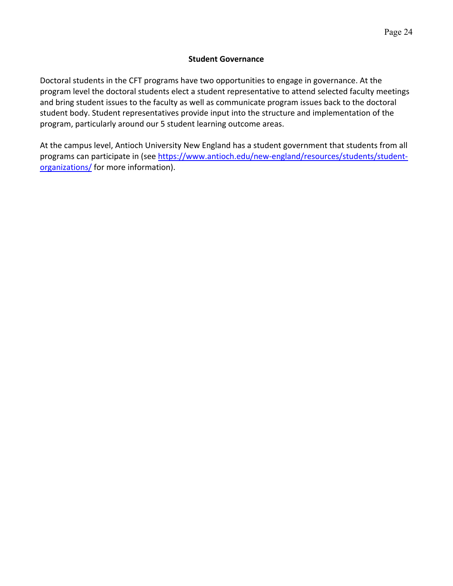#### **Student Governance**

Doctoral students in the CFT programs have two opportunities to engage in governance. At the program level the doctoral students elect a student representative to attend selected faculty meetings and bring student issues to the faculty as well as communicate program issues back to the doctoral student body. Student representatives provide input into the structure and implementation of the program, particularly around our 5 student learning outcome areas.

At the campus level, Antioch University New England has a student government that students from all programs can participate in (see https://www.antioch.edu/new-england/resources/students/studentorganizations/ for more information).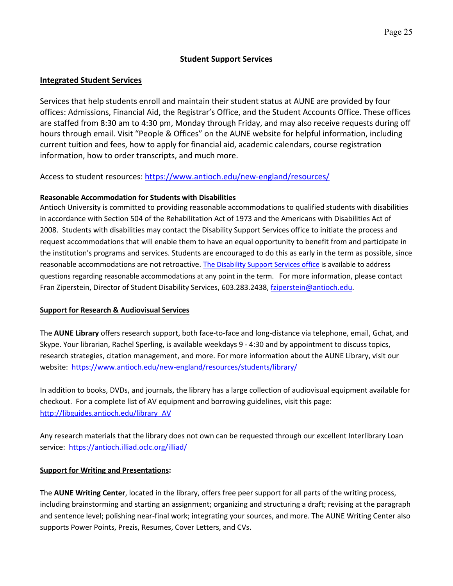#### **Student Support Services**

#### **Integrated Student Services**

Services that help students enroll and maintain their student status at AUNE are provided by four offices: Admissions, Financial Aid, the Registrar's Office, and the Student Accounts Office. These offices are staffed from 8:30 am to 4:30 pm, Monday through Friday, and may also receive requests during off hours through email. Visit "People & Offices" on the AUNE website for helpful information, including current tuition and fees, how to apply for financial aid, academic calendars, course registration information, how to order transcripts, and much more.

Access to student resources: https://www.antioch.edu/new-england/resources/

#### **Reasonable Accommodation for Students with Disabilities**

Antioch University is committed to providing reasonable accommodations to qualified students with disabilities in accordance with Section 504 of the Rehabilitation Act of 1973 and the Americans with Disabilities Act of 2008. Students with disabilities may contact the Disability Support Services office to initiate the process and request accommodations that will enable them to have an equal opportunity to benefit from and participate in the institution's programs and services. Students are encouraged to do this as early in the term as possible, since reasonable accommodations are not retroactive. The Disability Support Services office is available to address questions regarding reasonable accommodations at any point in the term. For more information, please contact Fran Ziperstein, Director of Student Disability Services, 603.283.2438, fziperstein@antioch.edu.

#### **Support for Research & Audiovisual Services**

The **AUNE Library** offers research support, both face-to-face and long-distance via telephone, email, Gchat, and Skype. Your librarian, Rachel Sperling, is available weekdays 9 - 4:30 and by appointment to discuss topics, research strategies, citation management, and more. For more information about the AUNE Library, visit our website:\_https://www.antioch.edu/new-england/resources/students/library/

In addition to books, DVDs, and journals, the library has a large collection of audiovisual equipment available for checkout. For a complete list of AV equipment and borrowing guidelines, visit this page: http://libguides.antioch.edu/library\_AV

Any research materials that the library does not own can be requested through our excellent Interlibrary Loan service: https://antioch.illiad.oclc.org/illiad/

#### **Support for Writing and Presentations:**

The **AUNE Writing Center**, located in the library, offers free peer support for all parts of the writing process, including brainstorming and starting an assignment; organizing and structuring a draft; revising at the paragraph and sentence level; polishing near-final work; integrating your sources, and more. The AUNE Writing Center also supports Power Points, Prezis, Resumes, Cover Letters, and CVs.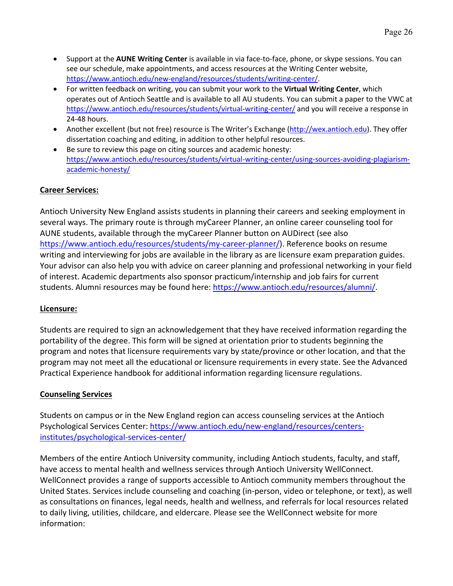- Support at the **AUNE Writing Center** is available in via face-to-face, phone, or skype sessions. You can see our schedule, make appointments, and access resources at the Writing Center website, https://www.antioch.edu/new-england/resources/students/writing-center/.
- For written feedback on writing, you can submit your work to the **Virtual Writing Center**, which operates out of Antioch Seattle and is available to all AU students. You can submit a paper to the VWC at https://www.antioch.edu/resources/students/virtual-writing-center/ and you will receive a response in 24-48 hours.
- Another excellent (but not free) resource is The Writer's Exchange (http://wex.antioch.edu). They offer dissertation coaching and editing, in addition to other helpful resources.
- Be sure to review this page on citing sources and academic honesty: https://www.antioch.edu/resources/students/virtual-writing-center/using-sources-avoiding-plagiarismacademic-honesty/

## **Career Services:**

Antioch University New England assists students in planning their careers and seeking employment in several ways. The primary route is through myCareer Planner, an online career counseling tool for AUNE students, available through the myCareer Planner button on AUDirect (see also https://www.antioch.edu/resources/students/my-career-planner/). Reference books on resume writing and interviewing for jobs are available in the library as are licensure exam preparation guides. Your advisor can also help you with advice on career planning and professional networking in your field of interest. Academic departments also sponsor practicum/internship and job fairs for current students. Alumni resources may be found here: https://www.antioch.edu/resources/alumni/.

#### **Licensure:**

Students are required to sign an acknowledgement that they have received information regarding the portability of the degree. This form will be signed at orientation prior to students beginning the program and notes that licensure requirements vary by state/province or other location, and that the program may not meet all the educational or licensure requirements in every state. See the Advanced Practical Experience handbook for additional information regarding licensure regulations.

## **Counseling Services**

Students on campus or in the New England region can access counseling services at the Antioch Psychological Services Center: https://www.antioch.edu/new-england/resources/centersinstitutes/psychological-services-center/

Members of the entire Antioch University community, including Antioch students, faculty, and staff, have access to mental health and wellness services through Antioch University WellConnect. WellConnect provides a range of supports accessible to Antioch community members throughout the United States. Services include counseling and coaching (in-person, video or telephone, or text), as well as consultations on finances, legal needs, health and wellness, and referrals for local resources related to daily living, utilities, childcare, and eldercare. Please see the WellConnect website for more information: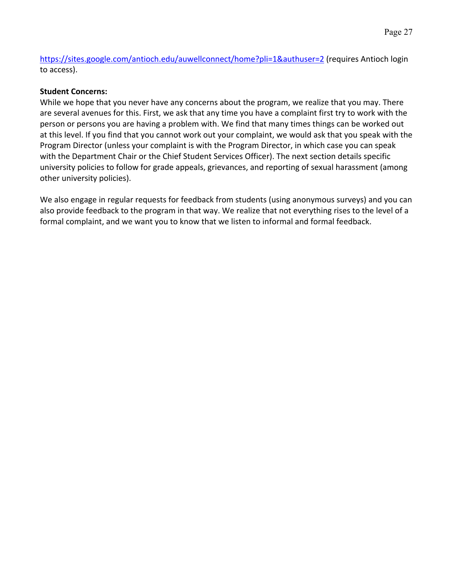https://sites.google.com/antioch.edu/auwellconnect/home?pli=1&authuser=2 (requires Antioch login to access).

## **Student Concerns:**

While we hope that you never have any concerns about the program, we realize that you may. There are several avenues for this. First, we ask that any time you have a complaint first try to work with the person or persons you are having a problem with. We find that many times things can be worked out at this level. If you find that you cannot work out your complaint, we would ask that you speak with the Program Director (unless your complaint is with the Program Director, in which case you can speak with the Department Chair or the Chief Student Services Officer). The next section details specific university policies to follow for grade appeals, grievances, and reporting of sexual harassment (among other university policies).

We also engage in regular requests for feedback from students (using anonymous surveys) and you can also provide feedback to the program in that way. We realize that not everything rises to the level of a formal complaint, and we want you to know that we listen to informal and formal feedback.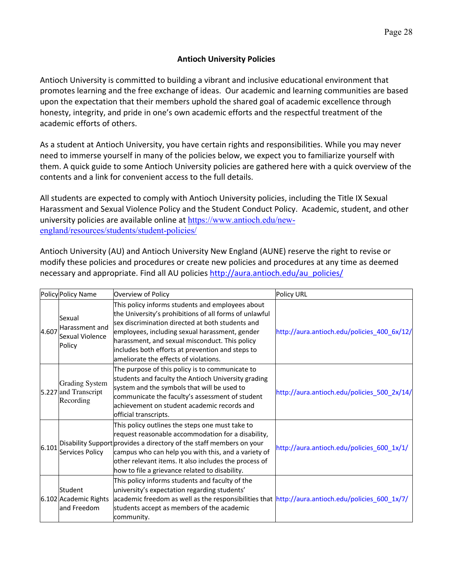## **Antioch University Policies**

Antioch University is committed to building a vibrant and inclusive educational environment that promotes learning and the free exchange of ideas. Our academic and learning communities are based upon the expectation that their members uphold the shared goal of academic excellence through honesty, integrity, and pride in one's own academic efforts and the respectful treatment of the academic efforts of others.

As a student at Antioch University, you have certain rights and responsibilities. While you may never need to immerse yourself in many of the policies below, we expect you to familiarize yourself with them. A quick guide to some Antioch University policies are gathered here with a quick overview of the contents and a link for convenient access to the full details.

All students are expected to comply with Antioch University policies, including the Title IX Sexual Harassment and Sexual Violence Policy and the Student Conduct Policy. Academic, student, and other university policies are available online at https://www.antioch.edu/newengland/resources/students/student-policies/

Antioch University (AU) and Antioch University New England (AUNE) reserve the right to revise or modify these policies and procedures or create new policies and procedures at any time as deemed necessary and appropriate. Find all AU policies http://aura.antioch.edu/au\_policies/

|       | Policy Policy Name                                         | Overview of Policy                                                                                                                                                                                                                                                                                                                                              | <b>Policy URL</b>                           |
|-------|------------------------------------------------------------|-----------------------------------------------------------------------------------------------------------------------------------------------------------------------------------------------------------------------------------------------------------------------------------------------------------------------------------------------------------------|---------------------------------------------|
| 4.607 | Sexual<br>Harassment and<br>Sexual Violence<br>Policy      | This policy informs students and employees about<br>the University's prohibitions of all forms of unlawful<br>sex discrimination directed at both students and<br>employees, including sexual harassment, gender<br>harassment, and sexual misconduct. This policy<br>includes both efforts at prevention and steps to<br>ameliorate the effects of violations. | http://aura.antioch.edu/policies_400_6x/12/ |
|       | <b>Grading System</b><br>5.227 and Transcript<br>Recording | The purpose of this policy is to communicate to<br>students and faculty the Antioch University grading<br>system and the symbols that will be used to<br>communicate the faculty's assessment of student<br>lachievement on student academic records and<br>official transcripts.                                                                               | http://aura.antioch.edu/policies_500_2x/14/ |
| 6.101 | Services Policy                                            | This policy outlines the steps one must take to<br>request reasonable accommodation for a disability,<br>Disability Support provides a directory of the staff members on your<br>campus who can help you with this, and a variety of<br>other relevant items. It also includes the process of<br>how to file a grievance related to disability.                 | http://aura.antioch.edu/policies_600_1x/1/  |
|       | Student<br>6.102 Academic Rights<br>land Freedom           | This policy informs students and faculty of the<br>university's expectation regarding students'<br>academic freedom as well as the responsibilities that $\frac{http://aura.antioch.edu/policies_600_1x/7}{$<br>students accept as members of the academic<br>community.                                                                                        |                                             |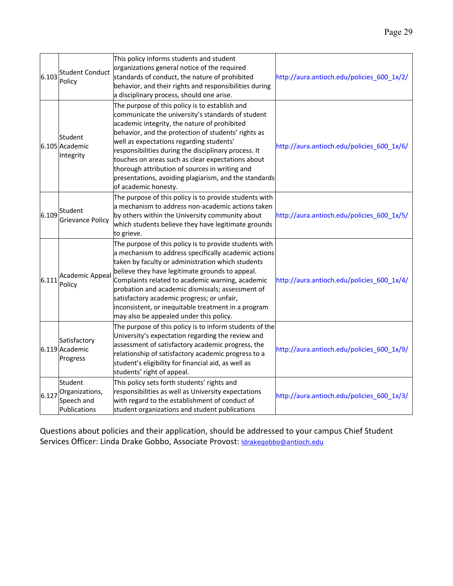| 6.103 | <b>Student Conduct</b><br>Policy                        | This policy informs students and student<br>organizations general notice of the required<br>standards of conduct, the nature of prohibited<br>behavior, and their rights and responsibilities during<br>a disciplinary process, should one arise.                                                                                                                                                                                                                                                      | http://aura.antioch.edu/policies_600_1x/2/ |
|-------|---------------------------------------------------------|--------------------------------------------------------------------------------------------------------------------------------------------------------------------------------------------------------------------------------------------------------------------------------------------------------------------------------------------------------------------------------------------------------------------------------------------------------------------------------------------------------|--------------------------------------------|
|       | Student<br>6.105 Academic<br>Integrity                  | The purpose of this policy is to establish and<br>communicate the university's standards of student<br>academic integrity, the nature of prohibited<br>behavior, and the protection of students' rights as<br>well as expectations regarding students'<br>responsibilities during the disciplinary process. It<br>touches on areas such as clear expectations about<br>thorough attribution of sources in writing and<br>presentations, avoiding plagiarism, and the standards<br>of academic honesty. | http://aura.antioch.edu/policies_600_1x/6/ |
| 6.109 | Student<br><b>Grievance Policy</b>                      | The purpose of this policy is to provide students with<br>a mechanism to address non-academic actions taken<br>by others within the University community about<br>which students believe they have legitimate grounds<br>to grieve.                                                                                                                                                                                                                                                                    | http://aura.antioch.edu/policies_600_1x/5/ |
| 6.111 | <b>Academic Appeal</b><br>Policy                        | The purpose of this policy is to provide students with<br>a mechanism to address specifically academic actions<br>taken by faculty or administration which students<br>believe they have legitimate grounds to appeal.<br>Complaints related to academic warning, academic<br>probation and academic dismissals; assessment of<br>satisfactory academic progress; or unfair,<br>inconsistent, or inequitable treatment in a program<br>may also be appealed under this policy.                         | http://aura.antioch.edu/policies_600_1x/4/ |
|       | Satisfactory<br>6.119 Academic<br>Progress              | The purpose of this policy is to inform students of the<br>University's expectation regarding the review and<br>assessment of satisfactory academic progress, the<br>relationship of satisfactory academic progress to a<br>student's eligibility for financial aid, as well as<br>students' right of appeal.                                                                                                                                                                                          | http://aura.antioch.edu/policies 600 1x/9/ |
| 6.127 | Student<br>Organizations,<br>Speech and<br>Publications | This policy sets forth students' rights and<br>responsibilities as well as University expectations<br>with regard to the establishment of conduct of<br>student organizations and student publications                                                                                                                                                                                                                                                                                                 | http://aura.antioch.edu/policies_600_1x/3/ |

Questions about policies and their application, should be addressed to your campus Chief Student Services Officer: Linda Drake Gobbo, Associate Provost: Idrakegobbo@antioch.edu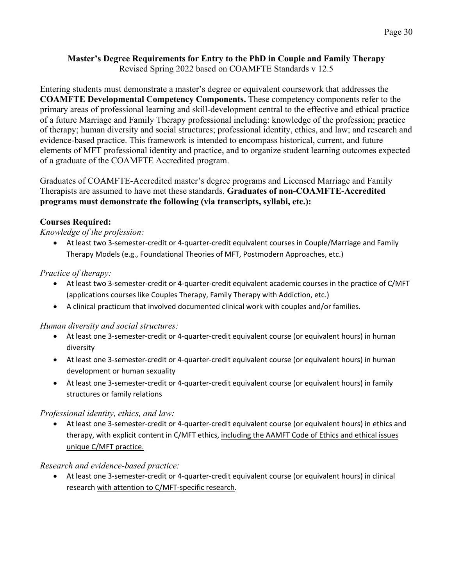#### **Master's Degree Requirements for Entry to the PhD in Couple and Family Therapy** Revised Spring 2022 based on COAMFTE Standards v 12.5

Entering students must demonstrate a master's degree or equivalent coursework that addresses the **COAMFTE Developmental Competency Components.** These competency components refer to the primary areas of professional learning and skill-development central to the effective and ethical practice of a future Marriage and Family Therapy professional including: knowledge of the profession; practice of therapy; human diversity and social structures; professional identity, ethics, and law; and research and evidence-based practice. This framework is intended to encompass historical, current, and future elements of MFT professional identity and practice, and to organize student learning outcomes expected of a graduate of the COAMFTE Accredited program.

Graduates of COAMFTE-Accredited master's degree programs and Licensed Marriage and Family Therapists are assumed to have met these standards. **Graduates of non-COAMFTE-Accredited programs must demonstrate the following (via transcripts, syllabi, etc.):**

## **Courses Required:**

#### *Knowledge of the profession:*

• At least two 3-semester-credit or 4-quarter-credit equivalent courses in Couple/Marriage and Family Therapy Models (e.g., Foundational Theories of MFT, Postmodern Approaches, etc.)

## *Practice of therapy:*

- At least two 3-semester-credit or 4-quarter-credit equivalent academic courses in the practice of C/MFT (applications courses like Couples Therapy, Family Therapy with Addiction, etc.)
- A clinical practicum that involved documented clinical work with couples and/or families.

#### *Human diversity and social structures:*

- At least one 3-semester-credit or 4-quarter-credit equivalent course (or equivalent hours) in human diversity
- At least one 3-semester-credit or 4-quarter-credit equivalent course (or equivalent hours) in human development or human sexuality
- At least one 3-semester-credit or 4-quarter-credit equivalent course (or equivalent hours) in family structures or family relations

#### *Professional identity, ethics, and law:*

• At least one 3-semester-credit or 4-quarter-credit equivalent course (or equivalent hours) in ethics and therapy, with explicit content in C/MFT ethics, including the AAMFT Code of Ethics and ethical issues unique C/MFT practice.

#### *Research and evidence-based practice:*

• At least one 3-semester-credit or 4-quarter-credit equivalent course (or equivalent hours) in clinical research with attention to C/MFT-specific research.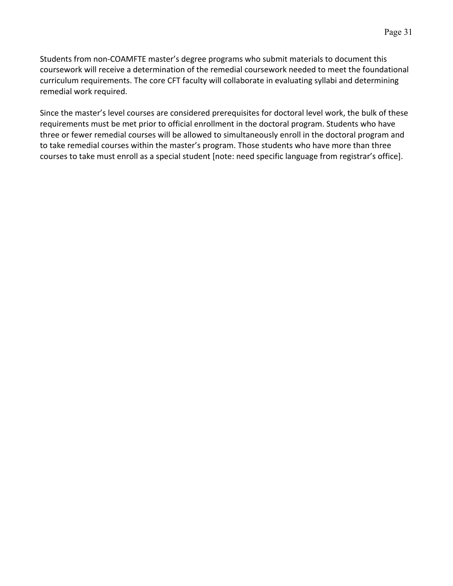Students from non-COAMFTE master's degree programs who submit materials to document this coursework will receive a determination of the remedial coursework needed to meet the foundational curriculum requirements. The core CFT faculty will collaborate in evaluating syllabi and determining remedial work required.

Since the master's level courses are considered prerequisites for doctoral level work, the bulk of these requirements must be met prior to official enrollment in the doctoral program. Students who have three or fewer remedial courses will be allowed to simultaneously enroll in the doctoral program and to take remedial courses within the master's program. Those students who have more than three courses to take must enroll as a special student [note: need specific language from registrar's office].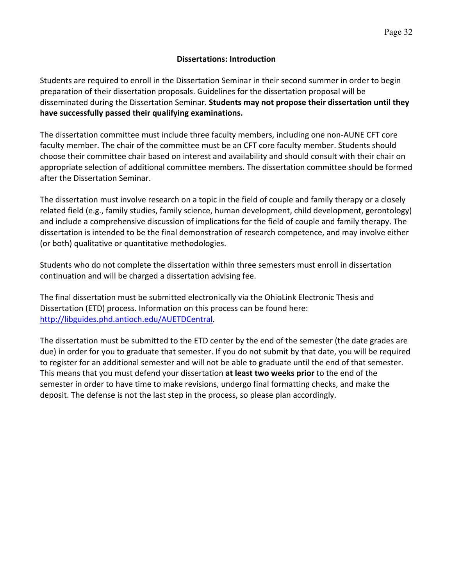## **Dissertations: Introduction**

Students are required to enroll in the Dissertation Seminar in their second summer in order to begin preparation of their dissertation proposals. Guidelines for the dissertation proposal will be disseminated during the Dissertation Seminar. **Students may not propose their dissertation until they have successfully passed their qualifying examinations.**

The dissertation committee must include three faculty members, including one non-AUNE CFT core faculty member. The chair of the committee must be an CFT core faculty member. Students should choose their committee chair based on interest and availability and should consult with their chair on appropriate selection of additional committee members. The dissertation committee should be formed after the Dissertation Seminar.

The dissertation must involve research on a topic in the field of couple and family therapy or a closely related field (e.g., family studies, family science, human development, child development, gerontology) and include a comprehensive discussion of implications for the field of couple and family therapy. The dissertation is intended to be the final demonstration of research competence, and may involve either (or both) qualitative or quantitative methodologies.

Students who do not complete the dissertation within three semesters must enroll in dissertation continuation and will be charged a dissertation advising fee.

The final dissertation must be submitted electronically via the OhioLink Electronic Thesis and Dissertation (ETD) process. Information on this process can be found here: http://libguides.phd.antioch.edu/AUETDCentral.

The dissertation must be submitted to the ETD center by the end of the semester (the date grades are due) in order for you to graduate that semester. If you do not submit by that date, you will be required to register for an additional semester and will not be able to graduate until the end of that semester. This means that you must defend your dissertation **at least two weeks prior** to the end of the semester in order to have time to make revisions, undergo final formatting checks, and make the deposit. The defense is not the last step in the process, so please plan accordingly.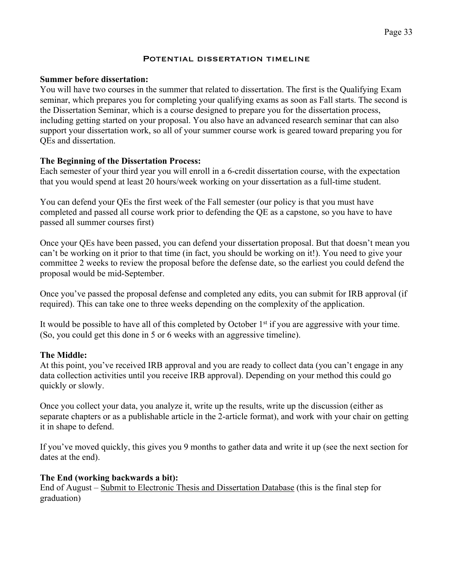#### POTENTIAL DISSERTATION TIMELINE

#### **Summer before dissertation:**

You will have two courses in the summer that related to dissertation. The first is the Qualifying Exam seminar, which prepares you for completing your qualifying exams as soon as Fall starts. The second is the Dissertation Seminar, which is a course designed to prepare you for the dissertation process, including getting started on your proposal. You also have an advanced research seminar that can also support your dissertation work, so all of your summer course work is geared toward preparing you for QEs and dissertation.

## **The Beginning of the Dissertation Process:**

Each semester of your third year you will enroll in a 6-credit dissertation course, with the expectation that you would spend at least 20 hours/week working on your dissertation as a full-time student.

You can defend your QEs the first week of the Fall semester (our policy is that you must have completed and passed all course work prior to defending the QE as a capstone, so you have to have passed all summer courses first)

Once your QEs have been passed, you can defend your dissertation proposal. But that doesn't mean you can't be working on it prior to that time (in fact, you should be working on it!). You need to give your committee 2 weeks to review the proposal before the defense date, so the earliest you could defend the proposal would be mid-September.

Once you've passed the proposal defense and completed any edits, you can submit for IRB approval (if required). This can take one to three weeks depending on the complexity of the application.

It would be possible to have all of this completed by October  $1<sup>st</sup>$  if you are aggressive with your time. (So, you could get this done in 5 or 6 weeks with an aggressive timeline).

## **The Middle:**

At this point, you've received IRB approval and you are ready to collect data (you can't engage in any data collection activities until you receive IRB approval). Depending on your method this could go quickly or slowly.

Once you collect your data, you analyze it, write up the results, write up the discussion (either as separate chapters or as a publishable article in the 2-article format), and work with your chair on getting it in shape to defend.

If you've moved quickly, this gives you 9 months to gather data and write it up (see the next section for dates at the end).

#### **The End (working backwards a bit):**

End of August – Submit to Electronic Thesis and Dissertation Database (this is the final step for graduation)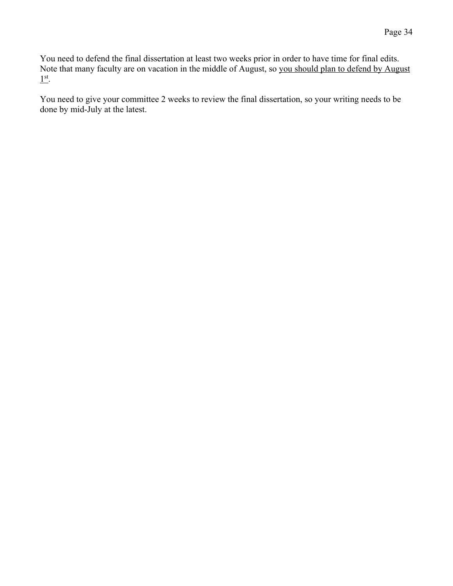You need to defend the final dissertation at least two weeks prior in order to have time for final edits. Note that many faculty are on vacation in the middle of August, so you should plan to defend by August 1st.

You need to give your committee 2 weeks to review the final dissertation, so your writing needs to be done by mid-July at the latest.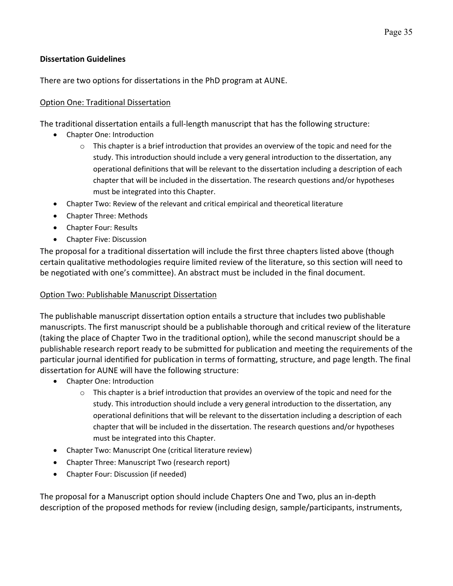## **Dissertation Guidelines**

There are two options for dissertations in the PhD program at AUNE.

## Option One: Traditional Dissertation

The traditional dissertation entails a full-length manuscript that has the following structure:

- Chapter One: Introduction
	- $\circ$  This chapter is a brief introduction that provides an overview of the topic and need for the study. This introduction should include a very general introduction to the dissertation, any operational definitions that will be relevant to the dissertation including a description of each chapter that will be included in the dissertation. The research questions and/or hypotheses must be integrated into this Chapter.
- Chapter Two: Review of the relevant and critical empirical and theoretical literature
- Chapter Three: Methods
- Chapter Four: Results
- Chapter Five: Discussion

The proposal for a traditional dissertation will include the first three chapters listed above (though certain qualitative methodologies require limited review of the literature, so this section will need to be negotiated with one's committee). An abstract must be included in the final document.

## Option Two: Publishable Manuscript Dissertation

The publishable manuscript dissertation option entails a structure that includes two publishable manuscripts. The first manuscript should be a publishable thorough and critical review of the literature (taking the place of Chapter Two in the traditional option), while the second manuscript should be a publishable research report ready to be submitted for publication and meeting the requirements of the particular journal identified for publication in terms of formatting, structure, and page length. The final dissertation for AUNE will have the following structure:

- Chapter One: Introduction
	- $\circ$  This chapter is a brief introduction that provides an overview of the topic and need for the study. This introduction should include a very general introduction to the dissertation, any operational definitions that will be relevant to the dissertation including a description of each chapter that will be included in the dissertation. The research questions and/or hypotheses must be integrated into this Chapter.
- Chapter Two: Manuscript One (critical literature review)
- Chapter Three: Manuscript Two (research report)
- Chapter Four: Discussion (if needed)

The proposal for a Manuscript option should include Chapters One and Two, plus an in-depth description of the proposed methods for review (including design, sample/participants, instruments,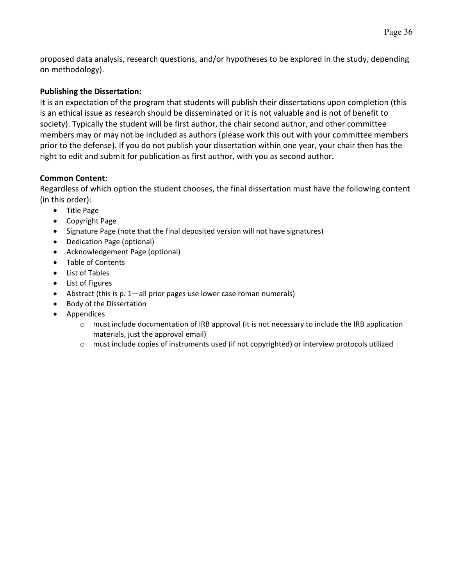proposed data analysis, research questions, and/or hypotheses to be explored in the study, depending on methodology).

## **Publishing the Dissertation:**

It is an expectation of the program that students will publish their dissertations upon completion (this is an ethical issue as research should be disseminated or it is not valuable and is not of benefit to society). Typically the student will be first author, the chair second author, and other committee members may or may not be included as authors (please work this out with your committee members prior to the defense). If you do not publish your dissertation within one year, your chair then has the right to edit and submit for publication as first author, with you as second author.

## **Common Content:**

Regardless of which option the student chooses, the final dissertation must have the following content (in this order):

- Title Page
- Copyright Page
- Signature Page (note that the final deposited version will not have signatures)
- Dedication Page (optional)
- Acknowledgement Page (optional)
- Table of Contents
- List of Tables
- List of Figures
- Abstract (this is p. 1—all prior pages use lower case roman numerals)
- Body of the Dissertation
- Appendices
	- $\circ$  must include documentation of IRB approval (it is not necessary to include the IRB application materials, just the approval email)
	- o must include copies of instruments used (if not copyrighted) or interview protocols utilized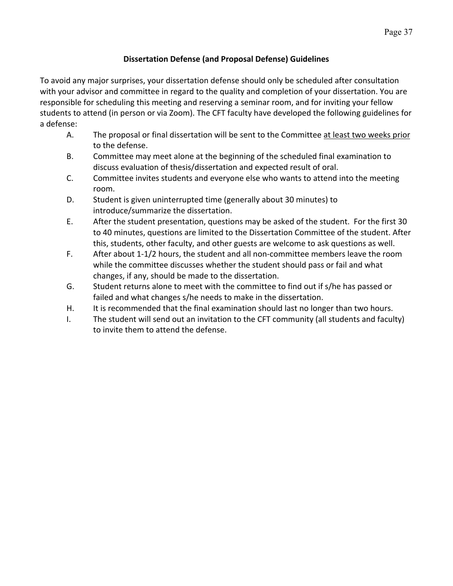# **Dissertation Defense (and Proposal Defense) Guidelines**

To avoid any major surprises, your dissertation defense should only be scheduled after consultation with your advisor and committee in regard to the quality and completion of your dissertation. You are responsible for scheduling this meeting and reserving a seminar room, and for inviting your fellow students to attend (in person or via Zoom). The CFT faculty have developed the following guidelines for a defense:

- A. The proposal or final dissertation will be sent to the Committee at least two weeks prior to the defense.
- B. Committee may meet alone at the beginning of the scheduled final examination to discuss evaluation of thesis/dissertation and expected result of oral.
- C. Committee invites students and everyone else who wants to attend into the meeting room.
- D. Student is given uninterrupted time (generally about 30 minutes) to introduce/summarize the dissertation.
- E. After the student presentation, questions may be asked of the student. For the first 30 to 40 minutes, questions are limited to the Dissertation Committee of the student. After this, students, other faculty, and other guests are welcome to ask questions as well.
- F. After about 1-1/2 hours, the student and all non-committee members leave the room while the committee discusses whether the student should pass or fail and what changes, if any, should be made to the dissertation.
- G. Student returns alone to meet with the committee to find out if s/he has passed or failed and what changes s/he needs to make in the dissertation.
- H. It is recommended that the final examination should last no longer than two hours.
- I. The student will send out an invitation to the CFT community (all students and faculty) to invite them to attend the defense.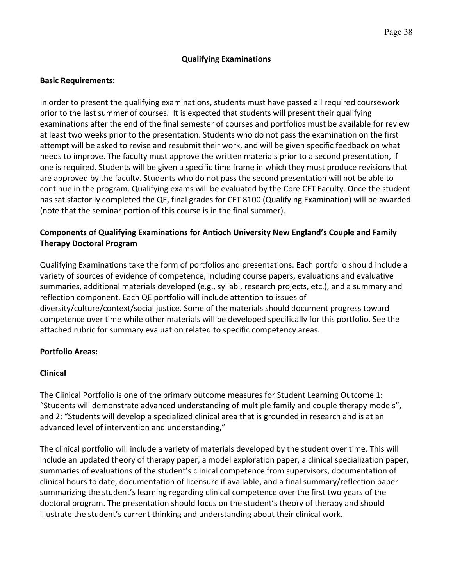## **Qualifying Examinations**

#### **Basic Requirements:**

In order to present the qualifying examinations, students must have passed all required coursework prior to the last summer of courses. It is expected that students will present their qualifying examinations after the end of the final semester of courses and portfolios must be available for review at least two weeks prior to the presentation. Students who do not pass the examination on the first attempt will be asked to revise and resubmit their work, and will be given specific feedback on what needs to improve. The faculty must approve the written materials prior to a second presentation, if one is required. Students will be given a specific time frame in which they must produce revisions that are approved by the faculty. Students who do not pass the second presentation will not be able to continue in the program. Qualifying exams will be evaluated by the Core CFT Faculty. Once the student has satisfactorily completed the QE, final grades for CFT 8100 (Qualifying Examination) will be awarded (note that the seminar portion of this course is in the final summer).

## **Components of Qualifying Examinations for Antioch University New England's Couple and Family Therapy Doctoral Program**

Qualifying Examinations take the form of portfolios and presentations. Each portfolio should include a variety of sources of evidence of competence, including course papers, evaluations and evaluative summaries, additional materials developed (e.g., syllabi, research projects, etc.), and a summary and reflection component. Each QE portfolio will include attention to issues of diversity/culture/context/social justice. Some of the materials should document progress toward competence over time while other materials will be developed specifically for this portfolio. See the attached rubric for summary evaluation related to specific competency areas.

#### **Portfolio Areas:**

#### **Clinical**

The Clinical Portfolio is one of the primary outcome measures for Student Learning Outcome 1: "Students will demonstrate advanced understanding of multiple family and couple therapy models", and 2: "Students will develop a specialized clinical area that is grounded in research and is at an advanced level of intervention and understanding,"

The clinical portfolio will include a variety of materials developed by the student over time. This will include an updated theory of therapy paper, a model exploration paper, a clinical specialization paper, summaries of evaluations of the student's clinical competence from supervisors, documentation of clinical hours to date, documentation of licensure if available, and a final summary/reflection paper summarizing the student's learning regarding clinical competence over the first two years of the doctoral program. The presentation should focus on the student's theory of therapy and should illustrate the student's current thinking and understanding about their clinical work.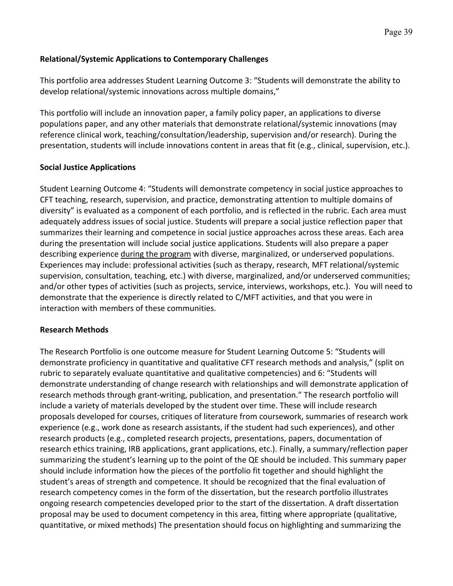## **Relational/Systemic Applications to Contemporary Challenges**

This portfolio area addresses Student Learning Outcome 3: "Students will demonstrate the ability to develop relational/systemic innovations across multiple domains,"

This portfolio will include an innovation paper, a family policy paper, an applications to diverse populations paper, and any other materials that demonstrate relational/systemic innovations (may reference clinical work, teaching/consultation/leadership, supervision and/or research). During the presentation, students will include innovations content in areas that fit (e.g., clinical, supervision, etc.).

## **Social Justice Applications**

Student Learning Outcome 4: "Students will demonstrate competency in social justice approaches to CFT teaching, research, supervision, and practice, demonstrating attention to multiple domains of diversity" is evaluated as a component of each portfolio, and is reflected in the rubric. Each area must adequately address issues of social justice. Students will prepare a social justice reflection paper that summarizes their learning and competence in social justice approaches across these areas. Each area during the presentation will include social justice applications. Students will also prepare a paper describing experience during the program with diverse, marginalized, or underserved populations. Experiences may include: professional activities (such as therapy, research, MFT relational/systemic supervision, consultation, teaching, etc.) with diverse, marginalized, and/or underserved communities; and/or other types of activities (such as projects, service, interviews, workshops, etc.). You will need to demonstrate that the experience is directly related to C/MFT activities, and that you were in interaction with members of these communities.

## **Research Methods**

The Research Portfolio is one outcome measure for Student Learning Outcome 5: "Students will demonstrate proficiency in quantitative and qualitative CFT research methods and analysis," (split on rubric to separately evaluate quantitative and qualitative competencies) and 6: "Students will demonstrate understanding of change research with relationships and will demonstrate application of research methods through grant-writing, publication, and presentation." The research portfolio will include a variety of materials developed by the student over time. These will include research proposals developed for courses, critiques of literature from coursework, summaries of research work experience (e.g., work done as research assistants, if the student had such experiences), and other research products (e.g., completed research projects, presentations, papers, documentation of research ethics training, IRB applications, grant applications, etc.). Finally, a summary/reflection paper summarizing the student's learning up to the point of the QE should be included. This summary paper should include information how the pieces of the portfolio fit together and should highlight the student's areas of strength and competence. It should be recognized that the final evaluation of research competency comes in the form of the dissertation, but the research portfolio illustrates ongoing research competencies developed prior to the start of the dissertation. A draft dissertation proposal may be used to document competency in this area, fitting where appropriate (qualitative, quantitative, or mixed methods) The presentation should focus on highlighting and summarizing the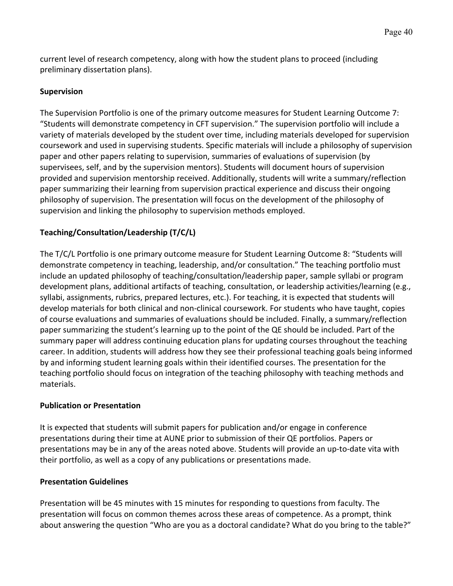current level of research competency, along with how the student plans to proceed (including preliminary dissertation plans).

## **Supervision**

The Supervision Portfolio is one of the primary outcome measures for Student Learning Outcome 7: "Students will demonstrate competency in CFT supervision." The supervision portfolio will include a variety of materials developed by the student over time, including materials developed for supervision coursework and used in supervising students. Specific materials will include a philosophy of supervision paper and other papers relating to supervision, summaries of evaluations of supervision (by supervisees, self, and by the supervision mentors). Students will document hours of supervision provided and supervision mentorship received. Additionally, students will write a summary/reflection paper summarizing their learning from supervision practical experience and discuss their ongoing philosophy of supervision. The presentation will focus on the development of the philosophy of supervision and linking the philosophy to supervision methods employed.

# **Teaching/Consultation/Leadership (T/C/L)**

The T/C/L Portfolio is one primary outcome measure for Student Learning Outcome 8: "Students will demonstrate competency in teaching, leadership, and/or consultation." The teaching portfolio must include an updated philosophy of teaching/consultation/leadership paper, sample syllabi or program development plans, additional artifacts of teaching, consultation, or leadership activities/learning (e.g., syllabi, assignments, rubrics, prepared lectures, etc.). For teaching, it is expected that students will develop materials for both clinical and non-clinical coursework. For students who have taught, copies of course evaluations and summaries of evaluations should be included. Finally, a summary/reflection paper summarizing the student's learning up to the point of the QE should be included. Part of the summary paper will address continuing education plans for updating courses throughout the teaching career. In addition, students will address how they see their professional teaching goals being informed by and informing student learning goals within their identified courses. The presentation for the teaching portfolio should focus on integration of the teaching philosophy with teaching methods and materials.

## **Publication or Presentation**

It is expected that students will submit papers for publication and/or engage in conference presentations during their time at AUNE prior to submission of their QE portfolios. Papers or presentations may be in any of the areas noted above. Students will provide an up-to-date vita with their portfolio, as well as a copy of any publications or presentations made.

## **Presentation Guidelines**

Presentation will be 45 minutes with 15 minutes for responding to questions from faculty. The presentation will focus on common themes across these areas of competence. As a prompt, think about answering the question "Who are you as a doctoral candidate? What do you bring to the table?"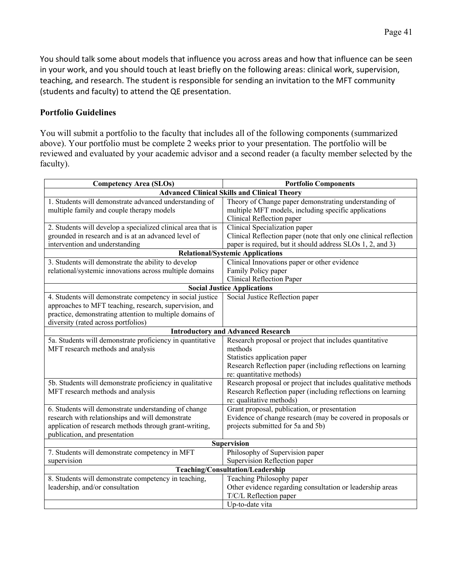You should talk some about models that influence you across areas and how that influence can be seen in your work, and you should touch at least briefly on the following areas: clinical work, supervision, teaching, and research. The student is responsible for sending an invitation to the MFT community (students and faculty) to attend the QE presentation.

## **Portfolio Guidelines**

You will submit a portfolio to the faculty that includes all of the following components (summarized above). Your portfolio must be complete 2 weeks prior to your presentation. The portfolio will be reviewed and evaluated by your academic advisor and a second reader (a faculty member selected by the faculty).

| <b>Competency Area (SLOs)</b>                                | <b>Portfolio Components</b>                                       |  |  |  |
|--------------------------------------------------------------|-------------------------------------------------------------------|--|--|--|
|                                                              | <b>Advanced Clinical Skills and Clinical Theory</b>               |  |  |  |
| 1. Students will demonstrate advanced understanding of       | Theory of Change paper demonstrating understanding of             |  |  |  |
| multiple family and couple therapy models                    | multiple MFT models, including specific applications              |  |  |  |
|                                                              | Clinical Reflection paper                                         |  |  |  |
| 2. Students will develop a specialized clinical area that is | Clinical Specialization paper                                     |  |  |  |
| grounded in research and is at an advanced level of          | Clinical Reflection paper (note that only one clinical reflection |  |  |  |
| intervention and understanding                               | paper is required, but it should address SLOs 1, 2, and 3)        |  |  |  |
|                                                              | <b>Relational/Systemic Applications</b>                           |  |  |  |
| 3. Students will demonstrate the ability to develop          | Clinical Innovations paper or other evidence                      |  |  |  |
| relational/systemic innovations across multiple domains      | Family Policy paper                                               |  |  |  |
|                                                              | <b>Clinical Reflection Paper</b>                                  |  |  |  |
|                                                              | <b>Social Justice Applications</b>                                |  |  |  |
| 4. Students will demonstrate competency in social justice    | Social Justice Reflection paper                                   |  |  |  |
| approaches to MFT teaching, research, supervision, and       |                                                                   |  |  |  |
| practice, demonstrating attention to multiple domains of     |                                                                   |  |  |  |
| diversity (rated across portfolios)                          |                                                                   |  |  |  |
|                                                              | <b>Introductory and Advanced Research</b>                         |  |  |  |
| 5a. Students will demonstrate proficiency in quantitative    | Research proposal or project that includes quantitative           |  |  |  |
| MFT research methods and analysis                            | methods                                                           |  |  |  |
|                                                              | Statistics application paper                                      |  |  |  |
|                                                              | Research Reflection paper (including reflections on learning      |  |  |  |
|                                                              | re: quantitative methods)                                         |  |  |  |
| 5b. Students will demonstrate proficiency in qualitative     | Research proposal or project that includes qualitative methods    |  |  |  |
| MFT research methods and analysis                            | Research Reflection paper (including reflections on learning      |  |  |  |
|                                                              | re: qualitative methods)                                          |  |  |  |
| 6. Students will demonstrate understanding of change         | Grant proposal, publication, or presentation                      |  |  |  |
| research with relationships and will demonstrate             | Evidence of change research (may be covered in proposals or       |  |  |  |
| application of research methods through grant-writing,       | projects submitted for 5a and 5b)                                 |  |  |  |
| publication, and presentation                                |                                                                   |  |  |  |
| Supervision                                                  |                                                                   |  |  |  |
| 7. Students will demonstrate competency in MFT               | Philosophy of Supervision paper                                   |  |  |  |
| supervision                                                  | Supervision Reflection paper                                      |  |  |  |
| Teaching/Consultation/Leadership                             |                                                                   |  |  |  |
| 8. Students will demonstrate competency in teaching,         | Teaching Philosophy paper                                         |  |  |  |
| leadership, and/or consultation                              | Other evidence regarding consultation or leadership areas         |  |  |  |
|                                                              | T/C/L Reflection paper                                            |  |  |  |
|                                                              | Up-to-date vita                                                   |  |  |  |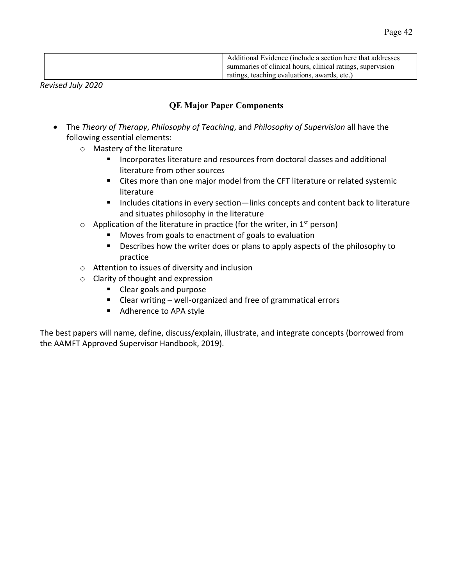| Additional Evidence (include a section here that addresses |
|------------------------------------------------------------|
| summaries of clinical hours, clinical ratings, supervision |
| ratings, teaching evaluations, awards, etc.)               |

*Revised July 2020*

# **QE Major Paper Components**

- The *Theory of Therapy*, *Philosophy of Teaching*, and *Philosophy of Supervision* all have the following essential elements:
	- o Mastery of the literature
		- Incorporates literature and resources from doctoral classes and additional literature from other sources
		- Cites more than one major model from the CFT literature or related systemic literature
		- Includes citations in every section—links concepts and content back to literature and situates philosophy in the literature
	- $\circ$  Application of the literature in practice (for the writer, in 1<sup>st</sup> person)
		- Moves from goals to enactment of goals to evaluation
		- Describes how the writer does or plans to apply aspects of the philosophy to practice
	- o Attention to issues of diversity and inclusion
	- o Clarity of thought and expression
		- Clear goals and purpose
		- Clear writing well-organized and free of grammatical errors
		- Adherence to APA style

The best papers will name, define, discuss/explain, illustrate, and integrate concepts (borrowed from the AAMFT Approved Supervisor Handbook, 2019).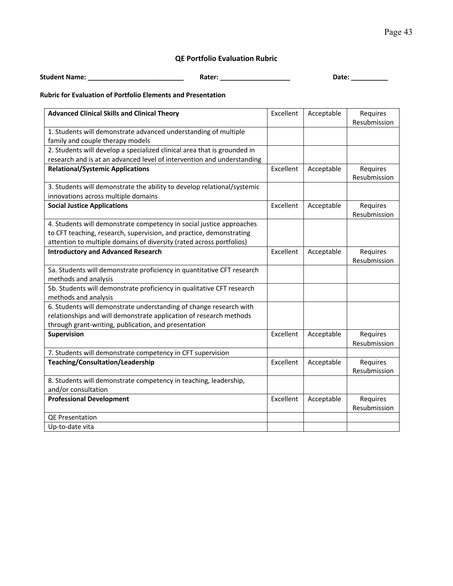## **QE Portfolio Evaluation Rubric**

**Student Name: \_\_\_\_\_\_\_\_\_\_\_\_\_\_\_\_\_\_\_\_\_\_\_\_\_\_ Rater: \_\_\_\_\_\_\_\_\_\_\_\_\_\_\_\_\_\_\_ Date: \_\_\_\_\_\_\_\_\_\_**

#### **Rubric for Evaluation of Portfolio Elements and Presentation**

| <b>Advanced Clinical Skills and Clinical Theory</b>                      | Excellent | Acceptable | Requires     |
|--------------------------------------------------------------------------|-----------|------------|--------------|
|                                                                          |           |            | Resubmission |
| 1. Students will demonstrate advanced understanding of multiple          |           |            |              |
| family and couple therapy models                                         |           |            |              |
| 2. Students will develop a specialized clinical area that is grounded in |           |            |              |
| research and is at an advanced level of intervention and understanding   |           |            |              |
| <b>Relational/Systemic Applications</b>                                  | Excellent | Acceptable | Requires     |
|                                                                          |           |            | Resubmission |
| 3. Students will demonstrate the ability to develop relational/systemic  |           |            |              |
| innovations across multiple domains                                      |           |            |              |
| <b>Social Justice Applications</b>                                       | Excellent | Acceptable | Requires     |
|                                                                          |           |            | Resubmission |
| 4. Students will demonstrate competency in social justice approaches     |           |            |              |
| to CFT teaching, research, supervision, and practice, demonstrating      |           |            |              |
| attention to multiple domains of diversity (rated across portfolios)     |           |            |              |
| <b>Introductory and Advanced Research</b>                                | Excellent | Acceptable | Requires     |
|                                                                          |           |            | Resubmission |
| 5a. Students will demonstrate proficiency in quantitative CFT research   |           |            |              |
| methods and analysis                                                     |           |            |              |
| 5b. Students will demonstrate proficiency in qualitative CFT research    |           |            |              |
| methods and analysis                                                     |           |            |              |
| 6. Students will demonstrate understanding of change research with       |           |            |              |
| relationships and will demonstrate application of research methods       |           |            |              |
| through grant-writing, publication, and presentation                     |           |            |              |
| Supervision                                                              | Excellent | Acceptable | Requires     |
|                                                                          |           |            | Resubmission |
| 7. Students will demonstrate competency in CFT supervision               |           |            |              |
| Teaching/Consultation/Leadership                                         | Excellent | Acceptable | Requires     |
|                                                                          |           |            | Resubmission |
| 8. Students will demonstrate competency in teaching, leadership,         |           |            |              |
| and/or consultation                                                      |           |            |              |
| <b>Professional Development</b>                                          | Excellent | Acceptable | Requires     |
|                                                                          |           |            | Resubmission |
| QE Presentation                                                          |           |            |              |
| Up-to-date vita                                                          |           |            |              |